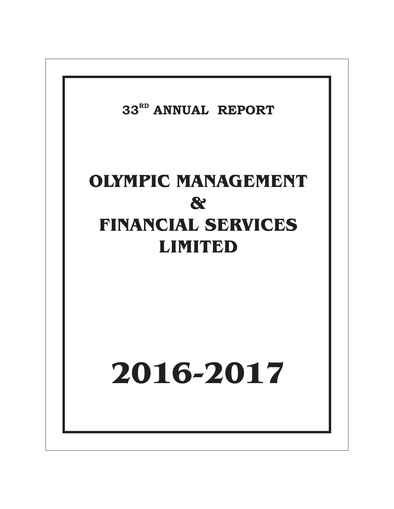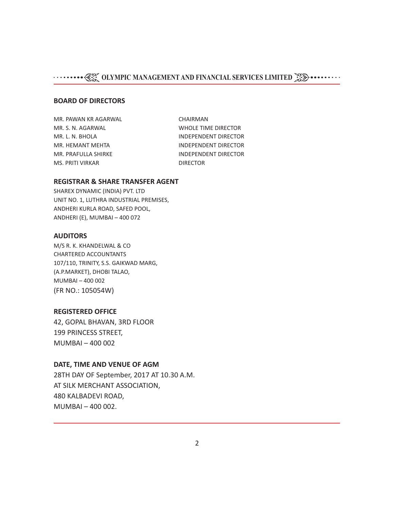#### **BOARD OF DIRECTORS**

MR. PAWAN KR AGARWAL CHAIRMAN MR. S. N. AGARWAL WHOLE TIME DIRECTOR MS. PRITI VIRKAR DIRECTOR

MR. L. N. BHOLA **INDEPENDENT DIRECTOR** MR. HEMANT MEHTA **INDEPENDENT DIRECTOR** MR. PRAFULLA SHIRKE INDEPENDENT DIRECTOR

#### **REGISTRAR & SHARE TRANSFER AGENT**

SHAREX DYNAMIC (INDIA) PVT. LTD UNIT NO. 1, LUTHRA INDUSTRIAL PREMISES, ANDHERI KURLA ROAD, SAFED POOL, ANDHERI (E), MUMBAI – 400 072

#### **AUDITORS**

M/S R. K. KHANDELWAL & CO CHARTERED ACCOUNTANTS 107/110, TRINITY, S.S. GAIKWAD MARG, (A.P.MARKET), DHOBI TALAO, MUMBAI – 400 002 (FR NO.: 105054W)

#### **REGISTERED OFFICE**

42, GOPAL BHAVAN, 3RD FLOOR 199 PRINCESS STREET, MUMBAI – 400 002

#### **DATE, TIME AND VENUE OF AGM**

28TH DAY OF September, 2017 AT 10.30 A.M. AT SILK MERCHANT ASSOCIATION, 480 KALBADEVI ROAD, MUMBAI – 400 002.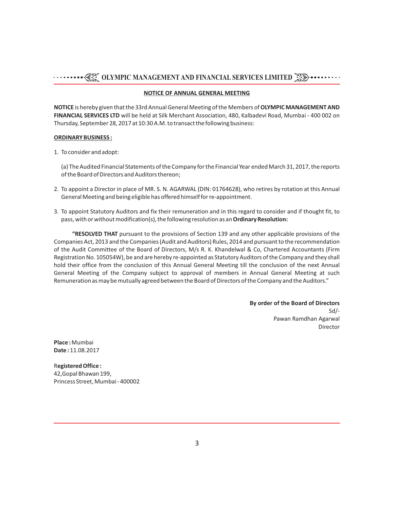#### **NOTICE OF ANNUAL GENERAL MEETING**

**NOTICE** is hereby given that the 33rd Annual General Meeting of the Members of **OLYMPIC MANAGEMENT AND FINANCIAL SERVICES LTD** will be held at Silk Merchant Association, 480, Kalbadevi Road, Mumbai - 400 002 on Thursday, September 28, 2017 at 10:30 A.M. to transact the following business:

#### **ORDINARY BUSINESS :**

1. To consider and adopt:

(a) The Audited Financial Statements of the Company for the Financial Year ended March 31, 2017, the reports of the Board of Directors and Auditors thereon;

- 2. To appoint a Director in place of MR. S. N. AGARWAL (DIN: 01764628), who retires by rotation at this Annual General Meeting and being eligible has offered himself for re-appointment.
- 3. To appoint Statutory Auditors and fix their remuneration and in this regard to consider and if thought fit, to pass, with or without modification(s), the following resolution as an **Ordinary Resolution:**

**"RESOLVED THAT** pursuant to the provisions of Section 139 and any other applicable provisions of the Companies Act, 2013 and the Companies (Audit and Auditors) Rules, 2014 and pursuant to the recommendation of the Audit Committee of the Board of Directors, M/s R. K. Khandelwal & Co, Chartered Accountants (Firm Registration No. 105054W), be and are hereby re-appointed as Statutory Auditors of the Company and they shall hold their office from the conclusion of this Annual General Meeting till the conclusion of the next Annual General Meeting of the Company subject to approval of members in Annual General Meeting at such Remuneration as may be mutually agreed between the Board of Directors of the Company and the Auditors."

> **By order of the Board of Directors** Sd/- Pawan Ramdhan Agarwal Director

**Place :** Mumbai **Date :** 11.08.2017

R**egistered Office :**  42,Gopal Bhawan 199, Princess Street, Mumbai - 400002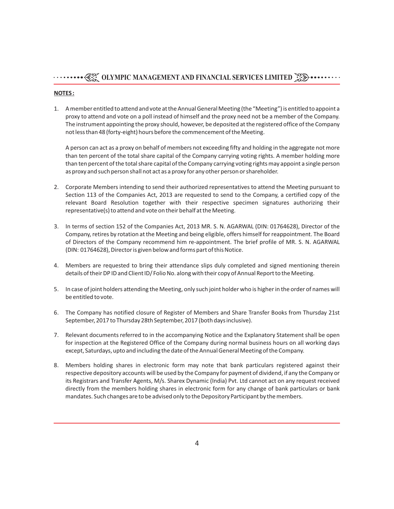#### **NOTES :**

1. A member entitled to attend and vote at the Annual General Meeting (the "Meeting") is entitled to appoint a proxy to attend and vote on a poll instead of himself and the proxy need not be a member of the Company. The instrument appointing the proxy should, however, be deposited at the registered office of the Company not less than 48 (forty-eight) hours before the commencement of the Meeting.

A person can act as a proxy on behalf of members not exceeding fifty and holding in the aggregate not more than ten percent of the total share capital of the Company carrying voting rights. A member holding more than ten percent of the total share capital of the Company carrying voting rights may appoint a single person as proxy and such person shall not act as a proxy for any other person or shareholder.

- 2. Corporate Members intending to send their authorized representatives to attend the Meeting pursuant to Section 113 of the Companies Act, 2013 are requested to send to the Company, a certified copy of the relevant Board Resolution together with their respective specimen signatures authorizing their representative(s) to attend and vote on their behalf at the Meeting.
- 3. In terms of section 152 of the Companies Act, 2013 MR. S. N. AGARWAL (DIN: 01764628), Director of the Company, retires by rotation at the Meeting and being eligible, offers himself for reappointment. The Board of Directors of the Company recommend him re-appointment. The brief profile of MR. S. N. AGARWAL (DIN: 01764628), Director is given below and forms part of this Notice.
- 4. Members are requested to bring their attendance slips duly completed and signed mentioning therein details of their DP ID and Client ID/ Folio No. along with their copy of Annual Report to the Meeting.
- 5. In case of joint holders attending the Meeting, only such joint holder who is higher in the order of names will be entitled to vote.
- 6. The Company has notified closure of Register of Members and Share Transfer Books from Thursday 21st September, 2017 to Thursday 28th September, 2017 (both days inclusive).
- 7. Relevant documents referred to in the accompanying Notice and the Explanatory Statement shall be open for inspection at the Registered Office of the Company during normal business hours on all working days except, Saturdays, upto and including the date of the Annual General Meeting of the Company.
- 8. Members holding shares in electronic form may note that bank particulars registered against their respective depository accounts will be used by the Company for payment of dividend, if any the Company or its Registrars and Transfer Agents, M/s. Sharex Dynamic (India) Pvt. Ltd cannot act on any request received directly from the members holding shares in electronic form for any change of bank particulars or bank mandates. Such changes are to be advised only to the Depository Participant by the members.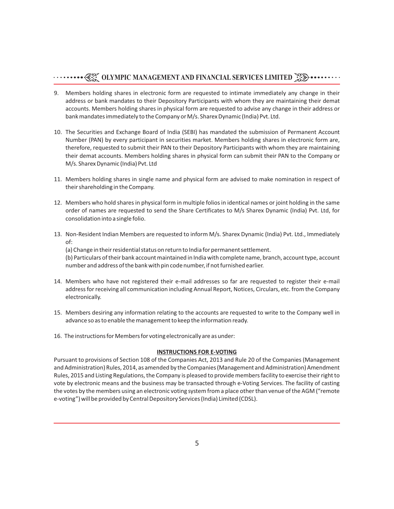- 9. Members holding shares in electronic form are requested to intimate immediately any change in their address or bank mandates to their Depository Participants with whom they are maintaining their demat accounts. Members holding shares in physical form are requested to advise any change in their address or bank mandates immediately to the Company or M/s. Sharex Dynamic (India) Pvt. Ltd.
- 10. The Securities and Exchange Board of India (SEBI) has mandated the submission of Permanent Account Number (PAN) by every participant in securities market. Members holding shares in electronic form are, therefore, requested to submit their PAN to their Depository Participants with whom they are maintaining their demat accounts. Members holding shares in physical form can submit their PAN to the Company or M/s. Sharex Dynamic (India) Pvt. Ltd
- 11. Members holding shares in single name and physical form are advised to make nomination in respect of their shareholding in the Company.
- 12. Members who hold shares in physical form in multiple folios in identical names or joint holding in the same order of names are requested to send the Share Certificates to M/s Sharex Dynamic (India) Pvt. Ltd, for consolidation into a single folio.
- 13. Non-Resident Indian Members are requested to inform M/s. Sharex Dynamic (India) Pvt. Ltd., Immediately of:

(a) Change in their residential status on return to India for permanent settlement.

(b) Particulars of their bank account maintained in India with complete name, branch, account type, account number and address of the bank with pin code number, if not furnished earlier.

- 14. Members who have not registered their e-mail addresses so far are requested to register their e-mail address for receiving all communication including Annual Report, Notices, Circulars, etc. from the Company electronically.
- 15. Members desiring any information relating to the accounts are requested to write to the Company well in advance so as to enable the management to keep the information ready.
- 16. The instructions for Members for voting electronically are as under:

#### **INSTRUCTIONS FOR E-VOTING**

Pursuant to provisions of Section 108 of the Companies Act, 2013 and Rule 20 of the Companies (Management and Administration) Rules, 2014, as amended by the Companies (Management and Administration) Amendment Rules, 2015 and Listing Regulations, the Company is pleased to provide members facility to exercise their right to vote by electronic means and the business may be transacted through e-Voting Services. The facility of casting the votes by the members using an electronic voting system from a place other than venue of the AGM ("remote e-voting") will be provided by Central Depository Services (India) Limited (CDSL).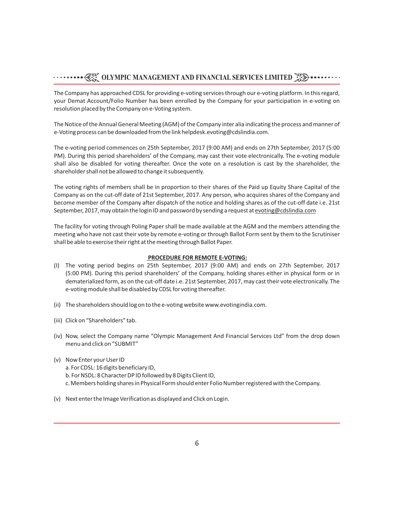The Company has approached CDSL for providing e-voting services through our e-voting platform. In this regard, your Demat Account/Folio Number has been enrolled by the Company for your participation in e-voting on resolution placed by the Company on e-Voting system.

The Notice of the Annual General Meeting (AGM) of the Company inter alia indicating the process and manner of e-Voting process can be downloaded from the link helpdesk.evoting@cdslindia.com.

The e-voting period commences on 25th September, 2017 (9:00 AM) and ends on 27th September, 2017 (5:00 PM). During this period shareholders' of the Company, may cast their vote electronically. The e-voting module shall also be disabled for voting thereafter. Once the vote on a resolution is cast by the shareholder, the shareholder shall not be allowed to change it subsequently.

The voting rights of members shall be in proportion to their shares of the Paid up Equity Share Capital of the Company as on the cut-off date of 21st September, 2017. Any person, who acquires shares of the Company and become member of the Company after dispatch of the notice and holding shares as of the cut-off date i.e. 21st September, 2017, may obtain the login ID and password by sending a request at evoting@cdslindia.com

The facility for voting through Poling Paper shall be made available at the AGM and the members attending the meeting who have not cast their vote by remote e-voting or through Ballot Form sent by them to the Scrutiniser shall be able to exercise their right at the meeting through Ballot Paper.

#### **PROCEDURE FOR REMOTE E-VOTING:**

- (I) The voting period begins on 25th September, 2017 (9:00 AM) and ends on 27th September, 2017 (5:00 PM). During this period shareholders' of the Company, holding shares either in physical form or in dematerialized form, as on the cut-off date i.e. 21st September, 2017, may cast their vote electronically. The e-voting module shall be disabled by CDSL for voting thereafter.
- (ii) The shareholders should log on to the e-voting website www.evotingindia.com.
- (iii) Click on "Shareholders" tab.
- (iv) Now, select the Company name "Olympic Management And Financial Services Ltd" from the drop down menu and click on "SUBMIT"
- (v) Now Enter your User ID a. For CDSL: 16 digits beneficiary ID, b. For NSDL: 8 Character DP ID followed by 8 Digits Client ID, c. Members holding shares in Physical Form should enter Folio Number registered with the Company.
- (v) Next enter the Image Verification as displayed and Click on Login.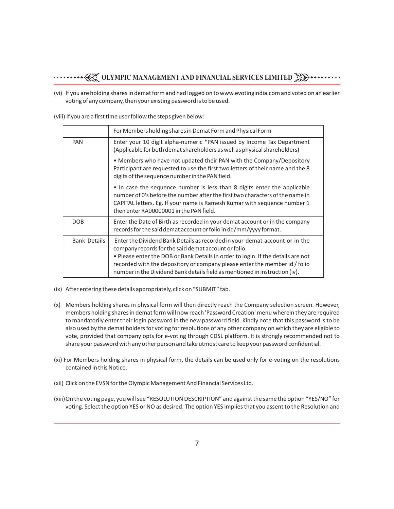(vi) If you are holding shares in demat form and had logged on to www.evotingindia.com and voted on an earlier voting of any company, then your existing password is to be used.

(viii) If you are a first time user follow the steps given below:

|                     | For Members holding shares in Demat Form and Physical Form                                                                                                                                                                                                                                                                                                                           |
|---------------------|--------------------------------------------------------------------------------------------------------------------------------------------------------------------------------------------------------------------------------------------------------------------------------------------------------------------------------------------------------------------------------------|
| PAN                 | Enter your 10 digit alpha-numeric *PAN issued by Income Tax Department<br>(Applicable for both demat shareholders as well as physical shareholders)                                                                                                                                                                                                                                  |
|                     | • Members who have not updated their PAN with the Company/Depository<br>Participant are requested to use the first two letters of their name and the 8<br>digits of the sequence number in the PAN field.                                                                                                                                                                            |
|                     | . In case the sequence number is less than 8 digits enter the applicable<br>number of 0's before the number after the first two characters of the name in<br>CAPITAL letters. Eg. If your name is Ramesh Kumar with sequence number 1<br>then enter RA00000001 in the PAN field.                                                                                                     |
| <b>DOB</b>          | Enter the Date of Birth as recorded in your demat account or in the company<br>records for the said demat account or folio in dd/mm/yyyy format.                                                                                                                                                                                                                                     |
| <b>Bank Details</b> | Enter the Dividend Bank Details as recorded in your demat account or in the<br>company records for the said demat account or folio.<br>. Please enter the DOB or Bank Details in order to login. If the details are not<br>recorded with the depository or company please enter the member id / folio<br>number in the Dividend Bank details field as mentioned in instruction (iv). |

- (ix) After entering these details appropriately, click on "SUBMIT" tab.
- (x) Members holding shares in physical form will then directly reach the Company selection screen. However, members holding shares in demat form will now reach 'Password Creation' menu wherein they are required to mandatorily enter their login password in the new password field. Kindly note that this password is to be also used by the demat holders for voting for resolutions of any other company on which they are eligible to vote, provided that company opts for e-voting through CDSL platform. It is strongly recommended not to share your password with any other person and take utmost care to keep your password confidential.
- (xi) For Members holding shares in physical form, the details can be used only for e-voting on the resolutions contained in this Notice.
- (xii) Click on the EVSN for the Olympic Management And Financial Services Ltd.
- (xiii)On the voting page, you will see "RESOLUTION DESCRIPTION" and against the same the option "YES/NO" for voting. Select the option YES or NO as desired. The option YES implies that you assent to the Resolution and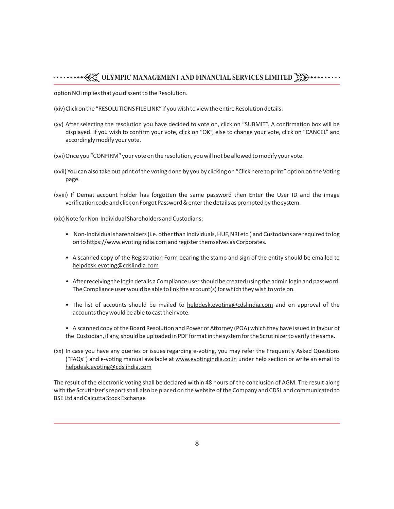option NO implies that you dissent to the Resolution.

(xiv) Click on the "RESOLUTIONS FILE LINK" if you wish to view the entire Resolution details.

- (xv) After selecting the resolution you have decided to vote on, click on "SUBMIT". A confirmation box will be displayed. If you wish to confirm your vote, click on "OK", else to change your vote, click on "CANCEL" and accordingly modify your vote.
- (xvi)Once you "CONFIRM" your vote on the resolution, you will not be allowed to modify your vote.
- (xvii) You can also take out print of the voting done by you by clicking on "Click here to print" option on the Voting page.
- (xviii) If Demat account holder has forgotten the same password then Enter the User ID and the image verification code and click on Forgot Password & enter the details as prompted by the system.

(xix) Note for Non-Individual Shareholders and Custodians:

- Non-Individual shareholders (i.e. other than Individuals, HUF, NRI etc.) and Custodians are required to log on to https://www.evotingindia.com and register themselves as Corporates.
- A scanned copy of the Registration Form bearing the stamp and sign of the entity should be emailed to helpdesk.evoting@cdslindia.com
- After receiving the login details a Compliance user should be created using the admin login and password. The Compliance user would be able to link the account(s) for which they wish to vote on.
- The list of accounts should be mailed to helpdesk.evoting@cdslindia.com and on approval of the accounts they would be able to cast their vote.
- A scanned copy of the Board Resolution and Power of Attorney (POA) which they have issued in favour of the Custodian, if any, should be uploaded in PDF format in the system for the Scrutinizer to verify the same.
- (xx) In case you have any queries or issues regarding e-voting, you may refer the Frequently Asked Questions ("FAQs") and e-voting manual available at www.evotingindia.co.in under help section or write an email to helpdesk.evoting@cdslindia.com

The result of the electronic voting shall be declared within 48 hours of the conclusion of AGM. The result along with the Scrutinizer's report shall also be placed on the website of the Company and CDSL and communicated to BSE Ltd and Calcutta Stock Exchange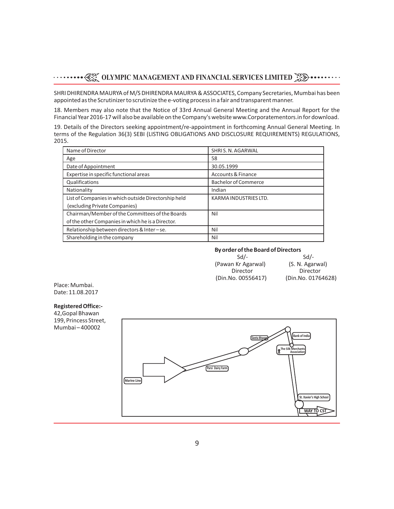SHRI DHIRENDRA MAURYA of M/S DHIRENDRA MAURYA & ASSOCIATES, Company Secretaries, Mumbai has been appointed as the Scrutinizer to scrutinize the e-voting process in a fair and transparent manner.

18. Members may also note that the Notice of 33rd Annual General Meeting and the Annual Report for the Financial Year 2016-17 will also be available on the Company's website www.Corporatementors.in for download.

19. Details of the Directors seeking appointment/re-appointment in forthcoming Annual General Meeting. In terms of the Regulation 36(3) SEBI (LISTING OBLIGATIONS AND DISCLOSURE REQUIREMENTS) REGULATIONS, 2015.

| Name of Director                                     | SHRIS, N. AGARWAL             |
|------------------------------------------------------|-------------------------------|
| Age                                                  | 58                            |
| Date of Appointment                                  | 30.05.1999                    |
| Expertise in specific functional areas               | <b>Accounts &amp; Finance</b> |
| Qualifications                                       | <b>Bachelor of Commerce</b>   |
| Nationality                                          | Indian                        |
| List of Companies in which outside Directorship held | KARMA INDUSTRIES LTD.         |
| (excluding Private Companies)                        |                               |
| Chairman/Member of the Committees of the Boards      | Nil                           |
| of the other Companies in which he is a Director.    |                               |
| Relationship between directors & Inter-se.           | Nil                           |
| Shareholding in the company                          | Nil                           |

# **By order of the Board of Directors**

 $Sd$ -Sd/- $Sd$ -Sd/- (Pawan Kr Agarwal) (S. N. Agarwal) Director Director (Din.No. 00556417) (Din.No. 01764628)

Place: Mumbai. Date: 11.08.2017

#### **Registered Office:-**

42,Gopal Bhawan 199, Princess Street, Mumbai – 400002

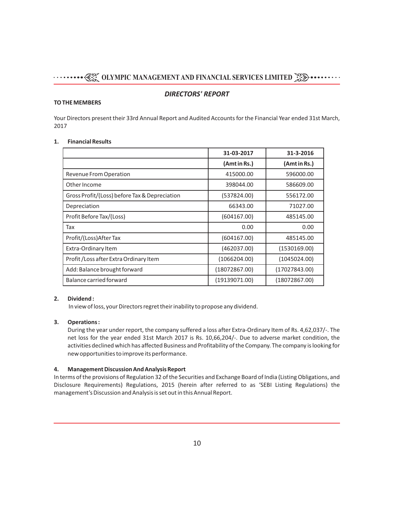#### *DIRECTORS' REPORT*

#### **TO THE MEMBERS**

Your Directors present their 33rd Annual Report and Audited Accounts for the Financial Year ended 31st March, 2017

#### **1. Financial Results**

|                                               | 31-03-2017    | 31-3-2016     |
|-----------------------------------------------|---------------|---------------|
|                                               | (Amt in Rs.)  | (Amt in Rs.)  |
| Revenue From Operation                        | 415000.00     | 596000.00     |
| Other Income                                  | 398044.00     | 586609.00     |
| Gross Profit/(Loss) before Tax & Depreciation | (537824.00)   | 556172.00     |
| Depreciation                                  | 66343.00      | 71027.00      |
| Profit Before Tax/(Loss)                      | (604167.00)   | 485145.00     |
| Tax                                           | 0.00          | 0.00          |
| Profit/(Loss)After Tax                        | (604167.00)   | 485145.00     |
| Extra-Ordinary Item                           | (462037.00)   | (1530169.00)  |
| Profit / Loss after Extra Ordinary Item       | (1066204.00)  | (1045024.00)  |
| Add: Balance brought forward                  | (18072867.00) | (17027843.00) |
| Balance carried forward                       | (19139071.00) | (18072867.00) |

#### **2. Dividend :**

In view of loss, your Directors regret their inability to propose any dividend.

#### **3. Operations :**

During the year under report, the company suffered a loss after Extra-Ordinary Item of Rs. 4,62,037/-. The net loss for the year ended 31st March 2017 is Rs. 10,66,204/-. Due to adverse market condition, the activities declined which has affected Business and Profitability of the Company. The company is looking for new opportunities to improve its performance.

#### **4. Management Discussion And Analysis Report**

In terms of the provisions of Regulation 32 of the Securities and Exchange Board of India (Listing Obligations, and Disclosure Requirements) Regulations, 2015 (herein after referred to as 'SEBI Listing Regulations) the management's Discussion and Analysis is set out in this Annual Report.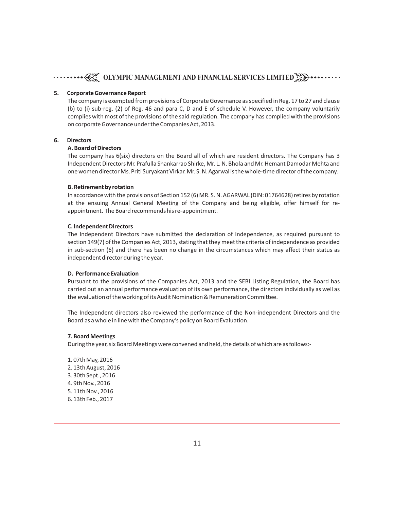# **OLYMPIC MANAGEMENT AND FINANCIAL SERVICES LIMITED<sup>3</sup>**

#### **5. Corporate Governance Report**

The company is exempted from provisions of Corporate Governance as specified in Reg. 17 to 27 and clause (b) to (i) sub-reg. (2) of Reg. 46 and para C, D and E of schedule V. However, the company voluntarily complies with most of the provisions of the said regulation. The company has complied with the provisions on corporate Governance under the Companies Act, 2013.

#### **6. Directors**

#### **A. Board of Directors**

The company has 6(six) directors on the Board all of which are resident directors. The Company has 3 Independent Directors Mr. Prafulla Shankarrao Shirke, Mr. L. N. Bhola and Mr. Hemant Damodar Mehta and one women director Ms. Priti Suryakant Virkar. Mr. S. N. Agarwal is the whole-time director of the company.

#### **B. Retirement by rotation**

In accordance with the provisions of Section 152 (6) MR. S. N. AGARWAL (DIN: 01764628) retires by rotation at the ensuing Annual General Meeting of the Company and being eligible, offer himself for reappointment. The Board recommends his re-appointment.

#### **C. Independent Directors**

The Independent Directors have submitted the declaration of Independence, as required pursuant to section 149(7) of the Companies Act, 2013, stating that they meet the criteria of independence as provided in sub-section (6) and there has been no change in the circumstances which may affect their status as independent director during the year.

#### **D. Performance Evaluation**

Pursuant to the provisions of the Companies Act, 2013 and the SEBI Listing Regulation, the Board has carried out an annual performance evaluation of its own performance, the directors individually as well as the evaluation of the working of its Audit Nomination & Remuneration Committee.

The Independent directors also reviewed the performance of the Non-independent Directors and the Board as a whole in line with the Company's policy on Board Evaluation.

#### **7. Board Meetings**

During the year, six Board Meetings were convened and held, the details of which are as follows:-

1. 07th May, 2016 2. 13th August, 2016 3. 30th Sept., 2016 4. 9th Nov., 2016 5. 11th Nov., 2016 6. 13th Feb., 2017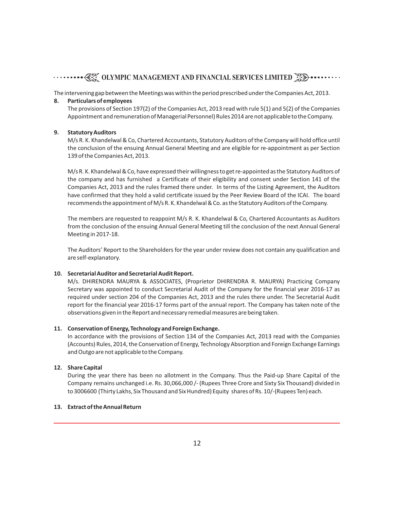The intervening gap between the Meetings was within the period prescribed under the Companies Act, 2013.

#### **8. Particulars of employees**

The provisions of Section 197(2) of the Companies Act, 2013 read with rule 5(1) and 5(2) of the Companies Appointment and remuneration of Managerial Personnel) Rules 2014 are not applicable to the Company.

#### **9. Statutory Auditors**

M/s R. K. Khandelwal & Co, Chartered Accountants, Statutory Auditors of the Company will hold office until the conclusion of the ensuing Annual General Meeting and are eligible for re-appointment as per Section 139 of the Companies Act, 2013.

M/s R. K. Khandelwal & Co, have expressed their willingness to get re-appointed as the Statutory Auditors of the company and has furnished a Certificate of their eligibility and consent under Section 141 of the Companies Act, 2013 and the rules framed there under. In terms of the Listing Agreement, the Auditors have confirmed that they hold a valid certificate issued by the Peer Review Board of the ICAI. The board recommends the appointment of M/s R. K. Khandelwal & Co. as the Statutory Auditors of the Company.

The members are requested to reappoint M/s R. K. Khandelwal & Co, Chartered Accountants as Auditors from the conclusion of the ensuing Annual General Meeting till the conclusion of the next Annual General Meeting in 2017-18.

The Auditors' Report to the Shareholders for the year under review does not contain any qualification and are self-explanatory.

#### **10. Secretarial Auditor and Secretarial Audit Report.**

M/s. DHIRENDRA MAURYA & ASSOCIATES, (Proprietor DHIRENDRA R. MAURYA) Practicing Company Secretary was appointed to conduct Secretarial Audit of the Company for the financial year 2016-17 as required under section 204 of the Companies Act, 2013 and the rules there under. The Secretarial Audit report for the financial year 2016-17 forms part of the annual report. The Company has taken note of the observations given in the Report and necessary remedial measures are being taken.

#### **11. Conservation of Energy, Technology and Foreign Exchange.**

In accordance with the provisions of Section 134 of the Companies Act, 2013 read with the Companies (Accounts) Rules, 2014, the Conservation of Energy, Technology Absorption and Foreign Exchange Earnings and Outgo are not applicable to the Company.

#### **12. Share Capital**

During the year there has been no allotment in the Company. Thus the Paid-up Share Capital of the Company remains unchanged i.e. Rs. 30,066,000 /- (Rupees Three Crore and Sixty Six Thousand) divided in to 3006600 (Thirty Lakhs, Six Thousand and Six Hundred) Equity shares of Rs. 10/-(Rupees Ten) each.

#### **13. Extract of the Annual Return**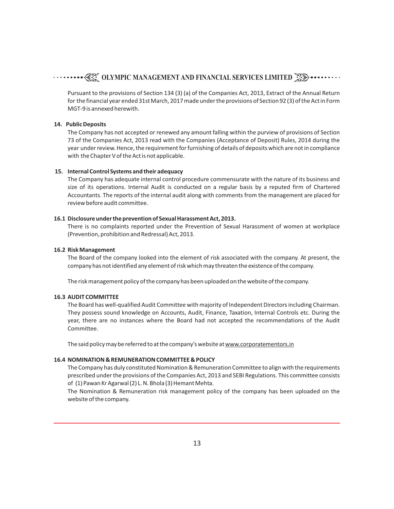Pursuant to the provisions of Section 134 (3) (a) of the Companies Act, 2013, Extract of the Annual Return for the financial year ended 31st March, 2017 made under the provisions of Section 92 (3) of the Act in Form MGT-9 is annexed herewith.

#### **14. Public Deposits**

The Company has not accepted or renewed any amount falling within the purview of provisions of Section 73 of the Companies Act, 2013 read with the Companies (Acceptance of Deposit) Rules, 2014 during the year under review. Hence, the requirement for furnishing of details of deposits which are not in compliance with the Chapter V of the Act is not applicable.

#### **15. Internal Control Systems and their adequacy**

The Company has adequate internal control procedure commensurate with the nature of its business and size of its operations. Internal Audit is conducted on a regular basis by a reputed firm of Chartered Accountants. The reports of the internal audit along with comments from the management are placed for review before audit committee.

#### **16.1 Disclosure under the prevention of Sexual Harassment Act, 2013.**

There is no complaints reported under the Prevention of Sexual Harassment of women at workplace (Prevention, prohibition and Redressal) Act, 2013.

#### **16.2 Risk Management**

The Board of the company looked into the element of risk associated with the company. At present, the company has not identified any element of risk which may threaten the existence of the company.

The risk management policy of the company has been uploaded on the website of the company.

#### **16.3 AUDIT COMMITTEE**

The Board has well-qualified Audit Committee with majority of Independent Directors including Chairman. They possess sound knowledge on Accounts, Audit, Finance, Taxation, Internal Controls etc. During the year, there are no instances where the Board had not accepted the recommendations of the Audit Committee.

The said policy may be referred to at the company's website at www.corporatementors.in

#### **16.4 NOMINATION & REMUNERATION COMMITTEE & POLICY**

The Company has duly constituted Nomination & Remuneration Committee to align with the requirements prescribed under the provisions of the Companies Act, 2013 and SEBI Regulations. This committee consists of (1) Pawan Kr Agarwal (2) L. N. Bhola (3) Hemant Mehta.

The Nomination & Remuneration risk management policy of the company has been uploaded on the website of the company.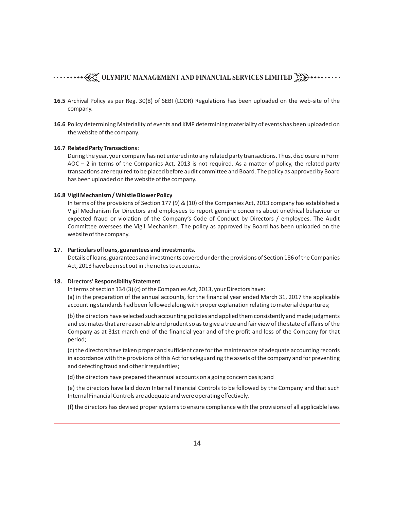- **16.5** Archival Policy as per Reg. 30(8) of SEBI (LODR) Regulations has been uploaded on the web-site of the company.
- **16.6** Policy determining Materiality of events and KMP determining materiality of events has been uploaded on the website of the company.

#### **16.7 Related Party Transactions :**

During the year, your company has not entered into any related party transactions. Thus, disclosure in Form AOC – 2 in terms of the Companies Act, 2013 is not required. As a matter of policy, the related party transactions are required to be placed before audit committee and Board. The policy as approved by Board has been uploaded on the website of the company.

#### **16.8 Vigil Mechanism / Whistle Blower Policy**

In terms of the provisions of Section 177 (9) & (10) of the Companies Act, 2013 company has established a Vigil Mechanism for Directors and employees to report genuine concerns about unethical behaviour or expected fraud or violation of the Company's Code of Conduct by Directors / employees. The Audit Committee oversees the Vigil Mechanism. The policy as approved by Board has been uploaded on the website of the company.

#### **17. Particulars of loans, guarantees and investments.**

Details of loans, guarantees and investments covered under the provisions of Section 186 of the Companies Act, 2013 have been set out in the notes to accounts.

#### **18. Directors' Responsibility Statement**

In terms of section 134 (3) (c) of the Companies Act, 2013, your Directors have: (a) in the preparation of the annual accounts, for the financial year ended March 31, 2017 the applicable accounting standards had been followed along with proper explanation relating to material departures;

(b) the directors have selected such accounting policies and applied them consistently and made judgments and estimates that are reasonable and prudent so as to give a true and fair view of the state of affairs of the Company as at 31st march end of the financial year and of the profit and loss of the Company for that period;

(c) the directors have taken proper and sufficient care for the maintenance of adequate accounting records in accordance with the provisions of this Act for safeguarding the assets of the company and for preventing and detecting fraud and other irregularities;

(d) the directors have prepared the annual accounts on a going concern basis; and

(e) the directors have laid down Internal Financial Controls to be followed by the Company and that such Internal Financial Controls are adequate and were operating effectively.

(f) the directors has devised proper systems to ensure compliance with the provisions of all applicable laws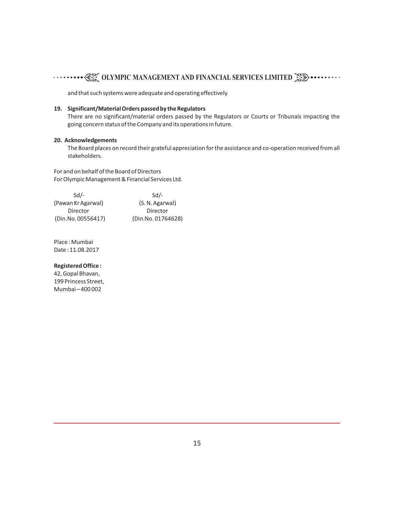and that such systems were adequate and operating effectively.

#### **19. Significant/Material Orders passed by the Regulators**

There are no significant/material orders passed by the Regulators or Courts or Tribunals impacting the going concern status of the Company and its operations in future.

#### **20. Acknowledgements**

The Board places on record their grateful appreciation for the assistance and co-operation received from all stakeholders.

For and on behalf of the Board of Directors For Olympic Management & Financial Services Ltd.

| $Sd$ -             | $Sd$ -             |
|--------------------|--------------------|
| (Pawan Kr Agarwal) | (S. N. Agarwal)    |
| Director           | Director           |
| (Din.No. 00556417) | (Din.No. 01764628) |

Place : Mumbai Date : 11.08.2017

#### **Registered Office :**

42, Gopal Bhavan, 199 Princess Street, Mumbai – 400 002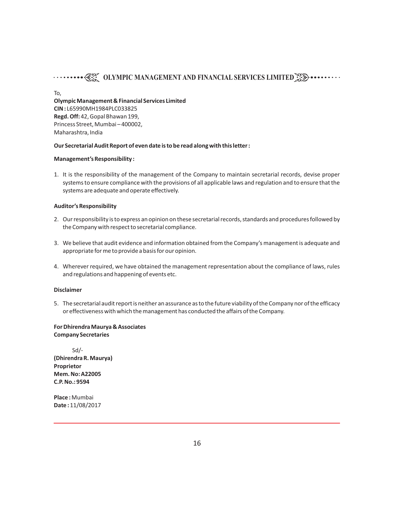# **OLYMPIC MANAGEMENT AND FINANCIAL SERVICES LIMITED<sup>8</sup>**

To, **Olympic Management & Financial Services Limited CIN :** L65990MH1984PLC033825 **Regd. Off:** 42, Gopal Bhawan 199, Princess Street, Mumbai – 400002, Maharashtra, India

#### **Our Secretarial Audit Report of even date is to be read along with this letter :**

#### **Management's Responsibility :**

1. It is the responsibility of the management of the Company to maintain secretarial records, devise proper systems to ensure compliance with the provisions of all applicable laws and regulation and to ensure that the systems are adequate and operate effectively.

#### **Auditor's Responsibility**

- 2. Our responsibility is to express an opinion on these secretarial records, standards and procedures followed by the Company with respect to secretarial compliance.
- 3. We believe that audit evidence and information obtained from the Company's management is adequate and appropriate for me to provide a basis for our opinion.
- 4. Wherever required, we have obtained the management representation about the compliance of laws, rules and regulations and happening of events etc.

#### **Disclaimer**

5. The secretarial audit report is neither an assurance as to the future viability of the Company nor of the efficacy or effectiveness with which the management has conducted the affairs of the Company.

#### **For Dhirendra Maurya & Associates Company Secretaries**

 Sd/- **(Dhirendra R. Maurya) Proprietor Mem. No: A22005 C.P. No.: 9594**

**Place :** Mumbai **Date :** 11/08/2017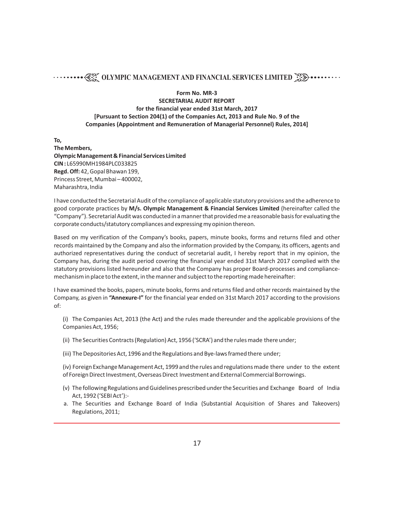**Form No. MR-3**

**SECRETARIAL AUDIT REPORT for the financial year ended 31st March, 2017 [Pursuant to Section 204(1) of the Companies Act, 2013 and Rule No. 9 of the Companies (Appointment and Remuneration of Managerial Personnel) Rules, 2014]**

**To,**

**The Members, Olympic Management & Financial Services Limited CIN :** L65990MH1984PLC033825 **Regd. Off:** 42, Gopal Bhawan 199, Princess Street, Mumbai – 400002, Maharashtra, India

I have conducted the Secretarial Audit of the compliance of applicable statutory provisions and the adherence to good corporate practices by **M/s. Olympic Management & Financial Services Limited** (hereinafter called the "Company"). Secretarial Audit was conducted in a manner that provided me a reasonable basis for evaluating the corporate conducts/statutory compliances and expressing my opinion thereon.

Based on my verification of the Company's books, papers, minute books, forms and returns filed and other records maintained by the Company and also the information provided by the Company, its officers, agents and authorized representatives during the conduct of secretarial audit, I hereby report that in my opinion, the Company has, during the audit period covering the financial year ended 31st March 2017 complied with the statutory provisions listed hereunder and also that the Company has proper Board-processes and compliancemechanism in place to the extent, in the manner and subject to the reporting made hereinafter:

I have examined the books, papers, minute books, forms and returns filed and other records maintained by the Company, as given in **"Annexure-I"** for the financial year ended on 31st March 2017 according to the provisions of:

(i) The Companies Act, 2013 (the Act) and the rules made thereunder and the applicable provisions of the Companies Act, 1956;

- (ii) The Securities Contracts (Regulation) Act, 1956 ('SCRA') and the rules made there under;
- (iii) The Depositories Act, 1996 and the Regulations and Bye-laws framed there under;

(iv) Foreign Exchange Management Act, 1999 and the rules and regulations made there under to the extent of Foreign Direct Investment,Overseas Direct Investment and External Commercial Borrowings.

- (v) The following Regulations and Guidelines prescribed under the Securities and Exchange Board of India Act, 1992 ('SEBI Act'):-
- a. The Securities and Exchange Board of India (Substantial Acquisition of Shares and Takeovers) Regulations, 2011;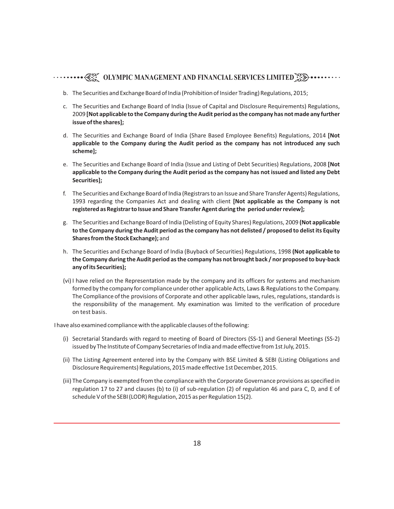# **OLYMPIC MANAGEMENT AND FINANCIAL SERVICES LIMITED<sup>8</sup>**

- b. The Securities and Exchange Board of India (Prohibition of Insider Trading) Regulations, 2015;
- c. The Securities and Exchange Board of India (Issue of Capital and Disclosure Requirements) Regulations, 2009 **[Not applicable to the Company during the Audit period as the company has not made any further issue of the shares];**
- d. The Securities and Exchange Board of India (Share Based Employee Benefits) Regulations, 2014 **[Not applicable to the Company during the Audit period as the company has not introduced any such scheme];**
- e. The Securities and Exchange Board of India (Issue and Listing of Debt Securities) Regulations, 2008 **[Not applicable to the Company during the Audit period as the company has not issued and listed any Debt Securities];**
- f. The Securities and Exchange Board of India (Registrars to an Issue and Share Transfer Agents) Regulations, 1993 regarding the Companies Act and dealing with client **[Not applicable as the Company is not registered as Registrar to Issue and Share Transfer Agent during the period under review];**
- g. The Securities and Exchange Board of India (Delisting of Equity Shares) Regulations, 2009 **(Not applicable to the Company during the Audit period as the company has not delisted / proposed to delist its Equity Shares from the Stock Exchange);** and
- h. The Securities and Exchange Board of India (Buyback of Securities) Regulations, 1998 **(Not applicable to the Company during the Audit period as the company has not brought back / nor proposed to buy-back any of its Securities);**
- (vi) I have relied on the Representation made by the company and its officers for systems and mechanism formed by the company for compliance under other applicable Acts, Laws & Regulations to the Company. The Compliance of the provisions of Corporate and other applicable laws, rules, regulations, standards is the responsibility of the management. My examination was limited to the verification of procedure on test basis.

I have also examined compliance with the applicable clauses of the following:

- (i) Secretarial Standards with regard to meeting of Board of Directors (SS-1) and General Meetings (SS-2) issued by The Institute of Company Secretaries of India and made effective from 1st July, 2015.
- (ii) The Listing Agreement entered into by the Company with BSE Limited & SEBI (Listing Obligations and Disclosure Requirements) Regulations, 2015 made effective 1st December, 2015.
- (iii) The Company is exempted from the compliance with the Corporate Governance provisions as specified in regulation 17 to 27 and clauses (b) to (i) of sub-regulation (2) of regulation 46 and para C, D, and E of schedule V of the SEBI (LODR) Regulation, 2015 as per Regulation 15(2).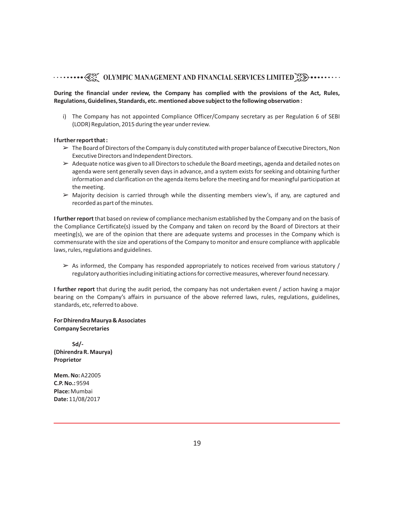# **OLYMPIC MANAGEMENT AND FINANCIAL SERVICES LIMITED<sup>3</sup>**

#### **During the financial under review, the Company has complied with the provisions of the Act, Rules, Regulations, Guidelines, Standards, etc. mentioned above subject to the following observation :**

i) The Company has not appointed Compliance Officer/Company secretary as per Regulation 6 of SEBI (LODR) Regulation, 2015 during the year under review.

#### **I further report that :**

- $\geq$  The Board of Directors of the Company is duly constituted with proper balance of Executive Directors, Non Executive Directors and Independent Directors.
- $\geq$  Adequate notice was given to all Directors to schedule the Board meetings, agenda and detailed notes on agenda were sent generally seven days in advance, and a system exists for seeking and obtaining further information and clarification on the agenda items before the meeting and for meaningful participation at the meeting.
- $\triangleright$  Majority decision is carried through while the dissenting members view's, if any, are captured and recorded as part of the minutes.

**I further report**that based on review of compliance mechanism established by the Company and on the basis of the Compliance Certificate(s) issued by the Company and taken on record by the Board of Directors at their meeting(s), we are of the opinion that there are adequate systems and processes in the Company which is commensurate with the size and operations of the Company to monitor and ensure compliance with applicable laws, rules, regulations and guidelines.

 $\geq$  As informed, the Company has responded appropriately to notices received from various statutory / regulatory authorities including initiating actions for corrective measures, wherever found necessary.

**I further report** that during the audit period, the company has not undertaken event / action having a major bearing on the Company's affairs in pursuance of the above referred laws, rules, regulations, guidelines, standards, etc, referred to above.

**For Dhirendra Maurya & Associates Company Secretaries**

 **Sd/- (Dhirendra R. Maurya) Proprietor**

**Mem. No:** A22005 **C.P. No.:** 9594 **Place:** Mumbai **Date:** 11/08/2017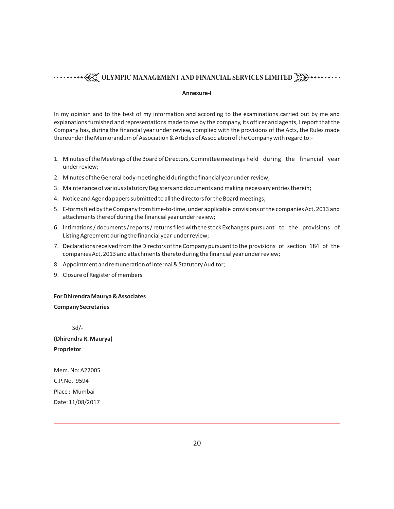#### **Annexure-I**

In my opinion and to the best of my information and according to the examinations carried out by me and explanations furnished and representations made to me by the company, its officer and agents, I report that the Company has, during the financial year under review, complied with the provisions of the Acts, the Rules made thereunder the Memorandum of Association & Articles of Association of the Company with regard to:-

- 1. Minutes of the Meetings of the Board of Directors, Committee meetings held during the financial year under review;
- 2. Minutes of the General body meeting held during the financial year under review;
- 3. Maintenance of various statutory Registers and documents and making necessary entries therein;
- 4. Notice and Agenda papers submitted to all the directors for the Board meetings;
- 5. E-forms filed by the Company from time-to-time, under applicable provisions of the companies Act, 2013 and attachments thereof during the financial year under review;
- 6. Intimations / documents / reports / returns filed with the stock Exchanges pursuant to the provisions of Listing Agreement during the financial year under review;
- 7. Declarations received from the Directors of the Company pursuant to the provisions of section 184 of the companies Act, 2013 and attachments thereto during the financial year under review;
- 8. Appointment and remuneration of Internal & Statutory Auditor;
- 9. Closure of Register of members.

#### **For Dhirendra Maurya & Associates**

#### **Company Secretaries**

Sd/-

**(Dhirendra R. Maurya) Proprietor**

Mem. No: A22005 C.P. No.: 9594 Place : Mumbai Date: 11/08/2017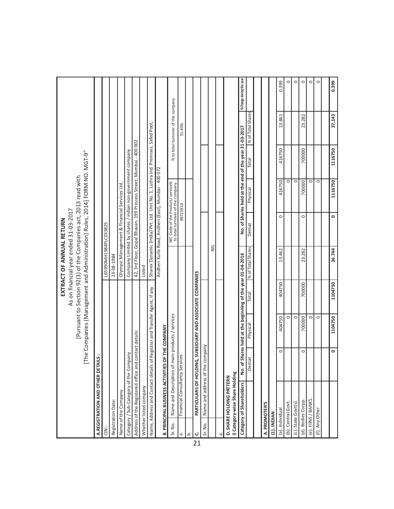|                 |                                                            |         |                                                            |         | EXTRACT OF ANNUAL RETURN                                                                                                                       |                                                                                |                                                      |         |                                    |                         |
|-----------------|------------------------------------------------------------|---------|------------------------------------------------------------|---------|------------------------------------------------------------------------------------------------------------------------------------------------|--------------------------------------------------------------------------------|------------------------------------------------------|---------|------------------------------------|-------------------------|
|                 |                                                            |         |                                                            |         | As on financial year ended 31-03-2017                                                                                                          |                                                                                |                                                      |         |                                    |                         |
|                 |                                                            |         |                                                            |         | [The Companies (Management and Administration) Rules, 2014] FORM NO. MGT-9"<br>[Pursuant to Section 92(3) of the Companies act, 2013 read with |                                                                                |                                                      |         |                                    |                         |
|                 | A. REGISTRATION AND OTHER DETAILS :                        |         |                                                            |         |                                                                                                                                                |                                                                                |                                                      |         |                                    |                         |
| CIN:-           |                                                            |         |                                                            |         | L65990MH1984PLC033825                                                                                                                          |                                                                                |                                                      |         |                                    |                         |
|                 | Registration Date:                                         |         |                                                            |         | 23-08-1984                                                                                                                                     |                                                                                |                                                      |         |                                    |                         |
|                 | Name of the Company                                        |         |                                                            |         |                                                                                                                                                | Olympic Management & Financial Services Ltd.                                   |                                                      |         |                                    |                         |
|                 | Category / Sub-Category of the Company                     |         |                                                            |         |                                                                                                                                                | Company Limited by shares / indian non-government company                      |                                                      |         |                                    |                         |
|                 | Address of the Registered office and contact details:      |         |                                                            |         |                                                                                                                                                | 42, 3rd Floor, Gopal Bhavan, 199 Princess Street, Mumbai - 400 002             |                                                      |         |                                    |                         |
|                 | Whether listed company                                     |         |                                                            |         | Listed                                                                                                                                         |                                                                                |                                                      |         |                                    |                         |
|                 | Name, Address and Contact details                          |         | of Registrar and Transfer Agent, if any                    |         |                                                                                                                                                | Sharex Dynamic (India) Pvt. Ltd. Unit No. 1, Luthra Ind. Premises, Safed Pool, |                                                      |         |                                    |                         |
|                 | <b>B. PRINCIPAL BUSINESS ACTIVITIES</b>                    |         | OF THE COMPANY                                             |         |                                                                                                                                                | Andheri Kurla Road, Andheri (East), Mumbai - 400 072                           |                                                      |         |                                    |                         |
| Sr. No.         | Name and Description of                                    |         | main products / services                                   |         |                                                                                                                                                | NIC Code of the Product/ service%<br>to total turnover of the company          |                                                      |         | % to total turnover of the company |                         |
| ά,              | Financial Consultancy Services                             |         |                                                            |         |                                                                                                                                                |                                                                                | 99715910                                             |         | 51.40%                             |                         |
| خ               |                                                            |         |                                                            |         |                                                                                                                                                |                                                                                |                                                      |         |                                    |                         |
| ن<br>21         |                                                            |         | PARTICULARS OF HOLDING, SUBSIDIARY AND ASSOCIATE COMPANIES |         |                                                                                                                                                |                                                                                |                                                      |         |                                    |                         |
| Sr. No.         | Name and address of the                                    | company |                                                            |         |                                                                                                                                                |                                                                                |                                                      |         |                                    |                         |
|                 |                                                            |         |                                                            |         | $\equiv$                                                                                                                                       |                                                                                |                                                      |         |                                    |                         |
|                 |                                                            |         |                                                            |         |                                                                                                                                                |                                                                                |                                                      |         |                                    |                         |
|                 | i) Category-wise Share Holding<br>D. SHARE HOLDING PATTERN |         |                                                            |         |                                                                                                                                                |                                                                                |                                                      |         |                                    |                         |
|                 | Category of Shareholders                                   |         | No. of Shares held at the beginning of the year 01-04-2016 |         |                                                                                                                                                |                                                                                | No. of Shares held at the end of the year 31-03-2017 |         |                                    | %Change during the year |
|                 |                                                            |         |                                                            |         |                                                                                                                                                |                                                                                |                                                      |         |                                    |                         |
|                 |                                                            | Demat   | Physical                                                   | Total   | % of Total Shares                                                                                                                              | Demat                                                                          | Physical                                             | Total   | % of Total Shares                  |                         |
|                 | A. PROMOTER'S                                              |         |                                                            |         |                                                                                                                                                |                                                                                |                                                      |         |                                    |                         |
| (1). INDIAN     |                                                            |         |                                                            |         |                                                                                                                                                |                                                                                |                                                      |         |                                    |                         |
| (a). individual |                                                            | $\circ$ | 404750                                                     | 404750  | 13.462                                                                                                                                         | $\circ$                                                                        | 416750                                               | 416750  | 13.861                             | 0.399                   |
|                 | (b). Central Govt.                                         |         | $\circ$                                                    |         |                                                                                                                                                |                                                                                | $\circ$                                              |         |                                    | $\circ$                 |
|                 | (c). State Govt(s)                                         |         | $\circ$                                                    |         |                                                                                                                                                |                                                                                | $\circ$                                              |         |                                    | $\circ$                 |
|                 | (d). Bodies Corpp.                                         | $\circ$ | 700000                                                     | 700000  | 23.282                                                                                                                                         | $\circ$                                                                        | 700000                                               | 700000  | 23.282                             | $\circ$                 |
|                 | (e). FIINS / BANKS                                         |         | $\circ$                                                    |         |                                                                                                                                                |                                                                                | $\circ$                                              |         |                                    | $\circ$                 |
| (f). Any Other  |                                                            |         | $\circ$                                                    |         |                                                                                                                                                |                                                                                | $\circ$                                              |         |                                    | $\circ$                 |
|                 |                                                            |         |                                                            |         |                                                                                                                                                |                                                                                |                                                      |         |                                    |                         |
|                 |                                                            | 0       | 1104750                                                    | 1104750 | 36.744                                                                                                                                         | $\bullet$                                                                      | 1116750                                              | 1116750 | 37.143                             | 0.399                   |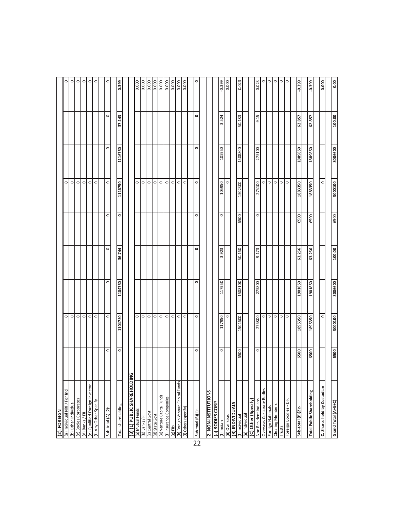| (2). FOREIGN                       |         |            |         |         |           |         |         |         |                                                                   |
|------------------------------------|---------|------------|---------|---------|-----------|---------|---------|---------|-------------------------------------------------------------------|
| (a) Individual NRI / For Ind       |         | $\circ$    |         |         |           | $\circ$ |         |         | $\circ$                                                           |
| (b) Other Individual               |         | $\circ$    |         |         |           | $\circ$ |         |         | $\circ$                                                           |
| (c) Bodies Corporates              |         | $\circ$    |         |         |           | $\circ$ |         |         | $\circ$                                                           |
| (d) Banks / FII                    |         | $\circ$    |         |         |           | $\circ$ |         |         | $\circ$                                                           |
| (e) Qualified Foreign Investor     |         | $\circ$    |         |         |           | $\circ$ |         |         | $\circ$                                                           |
| (f) Any Other Specify              |         | $\circ$    |         |         |           | $\circ$ |         |         | $\circ$                                                           |
|                                    |         |            |         |         |           |         |         |         |                                                                   |
| Sub-total (A) (2):-                | $\circ$ | $\circ$    | $\circ$ | $\circ$ | $\circ$   | $\circ$ | $\circ$ | $\circ$ | $\circ$                                                           |
|                                    |         |            |         |         |           |         |         |         |                                                                   |
| Total shareholding                 | $\circ$ | 1104750    | 1104750 | 36.744  | $\circ$   | 1116750 | 1116750 | 37.143  | 0.399                                                             |
|                                    |         |            |         |         |           |         |         |         |                                                                   |
| <b>(B)</b> (1) PUBLIC SHAREHOLDING |         |            |         |         |           |         |         |         |                                                                   |
| (a) Mutual Funds                   |         | $\circ$    |         |         |           | $\circ$ |         |         |                                                                   |
| (b) Banks / FI                     |         | $\circ$ lo |         |         |           | $\circ$ |         |         |                                                                   |
| (c) Central Govt.                  |         |            |         |         |           | lo.     |         |         | 888                                                               |
| (d) State Govt.                    |         | $\circ$    |         |         |           | $\circ$ |         |         | $\begin{array}{c c}\n 0.000 \\  \hline\n 0.000\n \end{array}$     |
| (e) Venture Capital Funds          |         | $\circ$    |         |         |           | $\circ$ |         |         |                                                                   |
| (f) Insurance Companies            |         | $\circ$    |         |         |           | $\circ$ |         |         | $\begin{array}{c c}\n\hline\n0.000 \\ \hline\n0.000\n\end{array}$ |
| $(g)$ Fils                         |         | $\circ$    |         |         |           | $\circ$ |         |         |                                                                   |
| h) Foreign Venture Capital Funds   |         | $\circ$    |         |         |           | $\circ$ |         |         | $\frac{1}{0.000}$                                                 |
| (i) Others (specify)               |         | $\circ$    |         |         |           | $\circ$ |         |         | $\frac{1}{20}$                                                    |
|                                    |         |            |         |         |           |         |         |         |                                                                   |
| Sub-total (B)(1):-                 | $\circ$ | $\circ$    | $\circ$ | $\circ$ | $\bullet$ | $\circ$ | 0       | 0       | 0                                                                 |
|                                    |         |            |         |         |           |         |         |         |                                                                   |
| 2. NON-INSTITUTIONS                |         |            |         |         |           |         |         |         |                                                                   |
| a) BODIES CORP.                    |         |            |         |         |           |         |         |         |                                                                   |
| 1) Indian                          | $\circ$ | 117950     | 117950  | 3.923   | $\circ$   | 105950  | 105950  | 3.524   | $-0.399$                                                          |
| ii) Overseas                       |         | $\circ$    |         |         |           | $\circ$ |         |         | $\frac{1}{20}$                                                    |
| <b>EXAMPLINE</b>                   |         |            |         |         |           |         |         |         |                                                                   |
| (I) Individual                     | 6500    | 1501600    | 1508100 | 50.160  | 6500      | 1502300 | 1508800 | 50.183  | 0.023                                                             |
| ii) Individual                     |         |            |         |         |           |         |         |         |                                                                   |
| (C) Other (Specify)                |         |            |         |         |           |         |         |         |                                                                   |
| Non Resident Indians               | $\circ$ | 275800     | 275800  | 9.173   | $\circ$   | 275100  | 275100  | 9.15    | $-0.023$                                                          |
| Overseas Corporate Bodies          |         | $\circ$    |         |         |           | $\circ$ |         |         |                                                                   |
| Foreign Nationals                  |         | $\circ$    |         |         |           | $\circ$ |         |         | ∘∣∘                                                               |
| Clearing Members                   |         | $\circ$    |         |         |           | 0 0 0   |         |         | ∘ ∘ ∘                                                             |
| Trusts                             |         | o          |         |         |           |         |         |         |                                                                   |
| Foreign Boodies - DR               |         | $\circ$    |         |         |           |         |         |         |                                                                   |
|                                    |         |            |         |         |           |         |         |         |                                                                   |
| Sub-total (B)(2):-                 | 6500    | 1895350    | 1901850 | 63.256  | 6500      | 1883350 | 1889850 | 62.857  | $-0.399$                                                          |
| Total Public Shareholding          | 6500    | 1895350    | 1901850 | 63.256  | 6500      | 1883350 | 1889850 | 62.857  | $-0.399$                                                          |
|                                    |         |            |         |         |           |         |         |         |                                                                   |
| C. Shares held by Custodian        |         | $\circ$    |         |         |           | $\circ$ |         |         | 0.000                                                             |
| Grand Total (A+B+C)                | 6500    | 3000100    | 3006600 | 100.00  | 6500      | 3000100 | 3006600 | 100.00  | 0.00                                                              |
|                                    |         |            |         |         |           |         |         |         |                                                                   |

22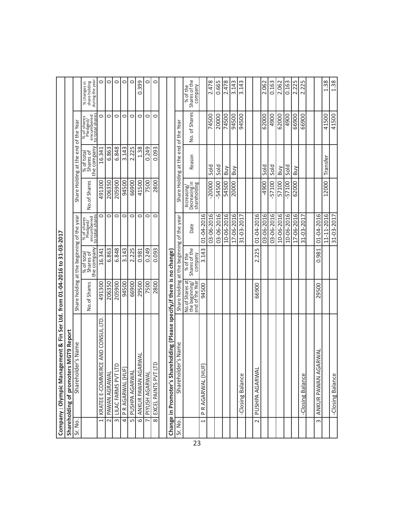|                         | Company: Olympic Management & Fin Ser Ltd. from 01-04-2016                    |                                                      | $\mathbf{c}$                           | 31-03-2017                                               |                                              |                                        |                                                          |                                                  |
|-------------------------|-------------------------------------------------------------------------------|------------------------------------------------------|----------------------------------------|----------------------------------------------------------|----------------------------------------------|----------------------------------------|----------------------------------------------------------|--------------------------------------------------|
|                         | <b>MGT9 Report</b><br>Shareholding of promoters                               |                                                      |                                        |                                                          |                                              |                                        |                                                          |                                                  |
| Sr. No.                 | Shareholder's Name                                                            | Share holding                                        | $\vec{a}$                              | the beginning of the year                                | Share Holding                                | end<br>at the                          | of the Year                                              |                                                  |
|                         |                                                                               | No.of Shares                                         | the company<br>% of total<br>Shares of | % of shares<br>Pledged/<br>encumbered<br>to total shares | No.of Shares                                 | the company<br>Shares of<br>% of total | % of shares<br>Pledged/<br>encumbered<br>to total shares | share holding<br>during the year<br>% changes in |
| $\overline{\mathbf{r}}$ | JE AND CONSULITD<br>KRATEE E-COMMER                                           | 491300                                               | 16.341                                 | 0                                                        | 491300                                       | 16.341                                 | 0                                                        | O                                                |
|                         | 2 PAWAN AGRAWAL                                                               | 206350                                               | 6.863                                  | 0                                                        | 206350                                       | 6.863                                  | $\circ$                                                  | $\circ$                                          |
|                         | 3 LILAC FARMS PVT LT                                                          | 205900                                               | 6.848                                  | O                                                        | 205900                                       | 6.848                                  | $\circ$                                                  | $\circ$                                          |
|                         | 4 PRAGARWAL (HUF)                                                             | 94500                                                | 3.143                                  | 0                                                        | 94500                                        | 3.143                                  | 0                                                        | $\circ$                                          |
|                         | 5 PUSHPA AGARWAL                                                              | 66900                                                | 225<br>$\dot{\sim}$                    | O                                                        | 66900                                        | 2.225                                  | O                                                        | $\circ$                                          |
|                         | RWAI<br>ANKUR PAWAN AGA<br>$\overline{\circ}$                                 | 29500                                                | 0.981                                  | O                                                        | 41500                                        | 1.38                                   | $\circ$                                                  | 0.399                                            |
| $\overline{r}$          | PIYUSH AGARWAL                                                                | 7500                                                 | 0.249                                  | O                                                        | 7500                                         | 0.249                                  | O                                                        | $\circ$                                          |
| $\overline{\infty}$     | $\supset$<br>EXCEL PAINTS PVT LT                                              | 2800                                                 | 0.093                                  | O                                                        | 2800                                         | 0.093                                  | $\circ$                                                  | $\circ$                                          |
|                         |                                                                               |                                                      |                                        |                                                          |                                              |                                        |                                                          |                                                  |
|                         | eholding (Please specify, if there is no change)<br>Change in Promoter's Shar |                                                      |                                        |                                                          |                                              |                                        |                                                          |                                                  |
| Sr. No.                 | Shareholder's Name                                                            | Share holding                                        | at the beginning of the year           |                                                          | Share Holding                                | at the                                 | end of the Year                                          |                                                  |
|                         |                                                                               | No.of Shares at<br>the beginning/<br>end of the Year | % of the<br>Shares of the<br>company   | Date                                                     | Increasing/<br>Decreasing in<br>shareholding | Reason                                 | No. of Shares                                            | Shares of the<br>company<br>% of the             |
| $\overline{ }$          | P R AGARWAL (HUF                                                              | 94500                                                | 3.143                                  | 01-04-2016                                               |                                              |                                        |                                                          |                                                  |
|                         |                                                                               |                                                      |                                        | 03-06-2016                                               | $-20000$                                     | Sold                                   | 74500                                                    | 2.478                                            |
|                         |                                                                               |                                                      |                                        | 03-06-2016                                               | -54500                                       | sold                                   | 20000                                                    | 0.665                                            |
|                         |                                                                               |                                                      |                                        | 10-06-2016                                               | 54500                                        | Buy                                    | 74500                                                    | 2.478                                            |
|                         |                                                                               |                                                      |                                        | 17-06-2016                                               | 20000                                        | Вuу                                    | 94500                                                    | 3.143                                            |
|                         | -Closing Balance                                                              |                                                      |                                        | 31-03-2017                                               |                                              |                                        | 94500                                                    | 3.143                                            |
|                         |                                                                               |                                                      |                                        |                                                          |                                              |                                        |                                                          |                                                  |
| $\sim$                  | PUSHPA AGARWAL                                                                | 66900                                                | 2.225                                  | 01-04-2016                                               |                                              |                                        |                                                          |                                                  |
|                         |                                                                               |                                                      |                                        | 03-06-2016                                               | -4900                                        | Sold                                   | 62000                                                    | 2.062                                            |
|                         |                                                                               |                                                      |                                        | 03-06-2016                                               | 57100                                        | Sold                                   | 4900                                                     | 0.163                                            |
|                         |                                                                               |                                                      |                                        | 10-06-2016                                               | 57100                                        | Buy                                    | 62000                                                    | 2.062                                            |
|                         |                                                                               |                                                      |                                        | 10-06-2016                                               | 57100                                        | Sold                                   | 4900                                                     | 0.163                                            |
|                         |                                                                               |                                                      |                                        | 17-06-2016                                               | 62000                                        | Buy                                    | 66900                                                    | 2.225                                            |
|                         | -Closing Balance                                                              |                                                      |                                        | 31-03-2017                                               |                                              |                                        | 66900                                                    | 2.225                                            |
|                         |                                                                               |                                                      |                                        |                                                          |                                              |                                        |                                                          |                                                  |
| $\infty$                | ARWAL<br>ANKUR PAWAN AGA                                                      | 29500                                                | 981<br>ö                               | 01-04-2016                                               |                                              |                                        |                                                          |                                                  |
|                         |                                                                               |                                                      |                                        | 11-11-2016                                               | 12000                                        | Transfer                               | 41500                                                    | 1.38                                             |
|                         | -Closing Balance                                                              |                                                      |                                        | 31-03-2017                                               |                                              |                                        | 41500                                                    | 1.38                                             |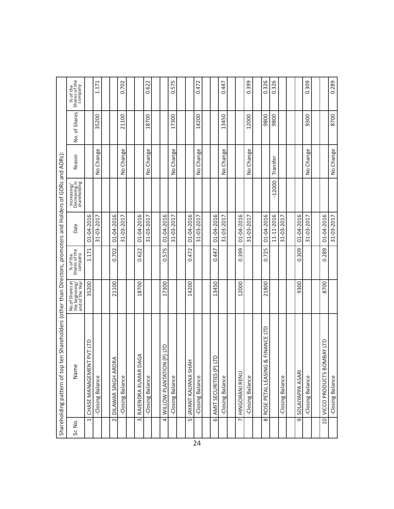|                                                                                                                 | % of the<br>Shares of the<br>company                 |                          | 1.171                   |                         | 0.702                   |                        | 0.622            |                               | Б<br>57.<br>ö           |                                | 0.472            |                          | 0.447            |                | 0.399            | 0.326                                            | 0.326      |                  |                    | 0.309                   |                           | 0.289            |
|-----------------------------------------------------------------------------------------------------------------|------------------------------------------------------|--------------------------|-------------------------|-------------------------|-------------------------|------------------------|------------------|-------------------------------|-------------------------|--------------------------------|------------------|--------------------------|------------------|----------------|------------------|--------------------------------------------------|------------|------------------|--------------------|-------------------------|---------------------------|------------------|
|                                                                                                                 | No. of Shares                                        |                          | 35200                   |                         | 21100                   |                        | 18700            |                               | 17300                   |                                | 14200            |                          | 13450            |                | 12000            | 9800                                             | 9800       |                  |                    | 9300                    |                           | 8700             |
|                                                                                                                 | Reason                                               |                          | Change<br>$\frac{1}{2}$ |                         | Change<br>$\frac{1}{2}$ |                        | No Change        |                               | Change<br>$\frac{1}{2}$ |                                | No Change        |                          | No Change        |                | No Change        |                                                  | Transfer   |                  |                    | Change<br>$\frac{1}{2}$ |                           | No Change        |
|                                                                                                                 | Increasing/<br>Decreasing in<br>shareholding         |                          |                         |                         |                         |                        |                  |                               |                         |                                |                  |                          |                  |                |                  |                                                  | $-12000$   |                  |                    |                         |                           |                  |
|                                                                                                                 | Date                                                 | 01-04-2016               | 31-03-2017              | 01-04-2016              | 31-03-2017              | 01-04-2016             | 31-03-2017       | 01-04-2016                    | 31-03-2017              | 01-04-2016                     | 31-03-2017       | 01-04-2016               | 31-03-201        | 01-04-2016     | 31-03-2017       | 01-04-2016                                       | 11-11-2016 | 31-03-2017       | 01-04-2016         | 31-03-2017              | 01-04-2016                | 31-03-2017       |
|                                                                                                                 | % of the<br>Shares of the<br>company                 | 1.171                    |                         | 0.702                   |                         | 0.622                  |                  | 575<br>ö                      |                         | 0.472                          |                  | 0.447                    |                  | 0.399          |                  | 0.725                                            |            |                  | 0.309              |                         | 0.289                     |                  |
|                                                                                                                 | No.of Shares at<br>the beginning/<br>end of the Year | 35200                    |                         | 21100                   |                         | 18700                  |                  | 17300                         |                         | 14200                          |                  | 13450                    |                  | 12000          |                  | 21800                                            |            |                  | 9300               |                         | 8700                      |                  |
| ten Shareholders (other than Directors, promoters and Holders of GDRs and ADRs):<br>Shareholding pattern of top | Ф<br>Name                                            | CHASE MANAGEMENT PVT LTD | -Closing Balance        | ORA<br>DILAWAR SINGH AR | -Closing Balance        | DAGA<br>RAJENDRA KUMAR | -Closing Balance | QLI (d) N<br>WILLOW PLANTATIO | -Closing Balance        | ₹<br><b>JAYANT KALYANJI SH</b> | -Closing Balance | Ê<br>AMIT SECURITIES (P) | -Closing Balance | HINGORANI RENU | -Closing Balance | <b>G &amp; FINANCE LTD</b><br>ROSE PETAL LEASINO |            | -Closing Balance | SOLAIYAPPA ASARI   | -Closing Balance        | VICCO PRODUCTS BOMBAY LTD | -Closing Balance |
|                                                                                                                 | Sr. No.                                              | $\overline{ }$           |                         | $\sim$                  |                         | $\sim$                 |                  | $\overline{4}$                |                         | S                              |                  | $\overline{\circ}$       |                  | $\overline{ }$ |                  | $\infty$                                         |            |                  | $\overline{\circ}$ |                         | $\overline{a}$            |                  |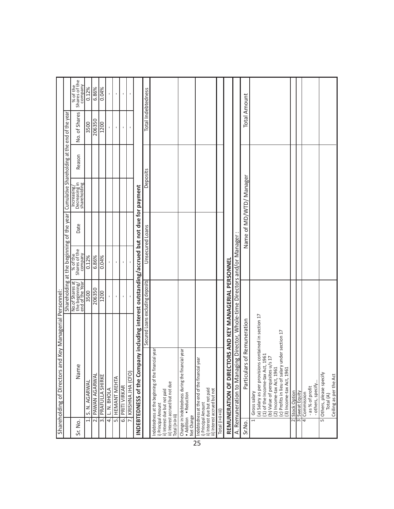|                    | and Key Managerial Personnel:<br>Shareholding of Directors                                                                                                                                                                                                  |                                                      |                                           |      |                                              |        |                                                |                                      |
|--------------------|-------------------------------------------------------------------------------------------------------------------------------------------------------------------------------------------------------------------------------------------------------------|------------------------------------------------------|-------------------------------------------|------|----------------------------------------------|--------|------------------------------------------------|--------------------------------------|
|                    |                                                                                                                                                                                                                                                             |                                                      | Shareholding at the beginning of the year |      |                                              |        | Cumulative Shareholding at the end of the year |                                      |
| Sr. No.            | $\mathbf \omega$<br>Namo                                                                                                                                                                                                                                    | No.of Shares at<br>the beginning/<br>end of the Year | % of the<br>Shares of the<br>company      | Date | Increasing/<br>Decreasing in<br>shareholding | Reason | No. of Shares                                  | % of the<br>Shares of the<br>company |
|                    | S. N. AGARWAL                                                                                                                                                                                                                                               | 3500                                                 | 0.12%                                     |      |                                              |        | 3500                                           | 0.12%                                |
|                    | <b>PAWAN AGARWAL</b><br>$\overline{\mathbf{r}}$                                                                                                                                                                                                             | 206350                                               | 6.86%                                     |      |                                              |        | 206350                                         | 6.86%                                |
|                    | PRAFULLA SHIRKE<br>$\overline{\mathbb{R}}$                                                                                                                                                                                                                  | 1200                                                 | 0.04%                                     |      |                                              |        | 1200                                           | 0.04%                                |
|                    | L. N. BHOLA<br>$\overline{4}$                                                                                                                                                                                                                               | ı                                                    | $\mathbf{r}$                              |      |                                              |        | $\mathbf{I}$                                   | $\mathbf{I}$                         |
|                    | <b>HEMANT MEHTA</b><br>$\overline{5}$                                                                                                                                                                                                                       | f,                                                   | $\mathbf{I}$                              |      |                                              |        | ı                                              | ı                                    |
|                    | PRITI VIRKAR<br>$\overline{6}$                                                                                                                                                                                                                              |                                                      | $\,$                                      |      |                                              |        |                                                |                                      |
|                    | KRISHNA JHA (CFO)                                                                                                                                                                                                                                           | $\mathbf{I}$                                         | $\mathbf{I}$                              |      |                                              |        | $\mathbf I$                                    |                                      |
|                    | pany including interest outstanding/accrued but not due for payment<br>INDEBTEDNESS of the Com                                                                                                                                                              |                                                      |                                           |      |                                              |        |                                                |                                      |
|                    |                                                                                                                                                                                                                                                             | Secured Loans excluding deposits                     | Unsecured Loans                           |      | Deposits                                     |        |                                                | Total Indebtedness                   |
| Total (i+ii+iii)   | Indebtedness at the beginning of the financial year<br>iii) Interest accrued but not due<br>ii) Interest due but not paid<br>i) Principal Amount                                                                                                            |                                                      |                                           |      |                                              |        |                                                |                                      |
| Net Change         | incial year<br>Change in Indebtedness during the fina<br>• Addition • Reduction                                                                                                                                                                             |                                                      |                                           |      |                                              |        |                                                |                                      |
|                    | lyear<br>Indebtedness at the end of the financial<br>ii) Interest due but not paid<br>iii) Interest accrued but not<br>i) Principal Amount                                                                                                                  |                                                      |                                           |      |                                              |        |                                                |                                      |
| Total (i+ii+iii)   |                                                                                                                                                                                                                                                             |                                                      |                                           |      |                                              |        |                                                |                                      |
|                    | <b>TORS AND KEY MANAGERIAL PERSONNE</b><br>REMUNERATION OF DIRE                                                                                                                                                                                             |                                                      |                                           |      |                                              |        |                                                |                                      |
|                    | A. Remuneration to Managing Director, Whole-time Directors and/or Manager                                                                                                                                                                                   |                                                      |                                           |      |                                              |        |                                                |                                      |
| Sr.No.             | 's of Remuneration<br>Particula                                                                                                                                                                                                                             |                                                      |                                           |      | Name of MD/WTD/ Manager                      |        | <b>Total Amount</b>                            |                                      |
| $\overline{a}$     | (a) Salary as per provisions contained in section 17<br>(c) Profits in lieu of salary under section 17<br>(1) of the Income-tax Act, 1961<br>$1/5$ 17<br>(b) Value of perquisites u<br>(2) Income-tax Act, 1961<br>(3) Income-tax Act, 1961<br>Gross salary |                                                      |                                           |      |                                              |        |                                                |                                      |
| $\infty$<br>$\sim$ | Stock Option                                                                                                                                                                                                                                                |                                                      |                                           |      |                                              |        |                                                |                                      |
|                    | Sweat Equity                                                                                                                                                                                                                                                |                                                      |                                           |      |                                              |        |                                                |                                      |
| 4                  | - others, specify<br>-as % of profit<br>Commission                                                                                                                                                                                                          |                                                      |                                           |      |                                              |        |                                                |                                      |
| 5                  | Others, please specify<br>Total (A)                                                                                                                                                                                                                         |                                                      |                                           |      |                                              |        |                                                |                                      |
|                    | Ceiling as per the Act                                                                                                                                                                                                                                      |                                                      |                                           |      |                                              |        |                                                |                                      |

 $\overline{25}$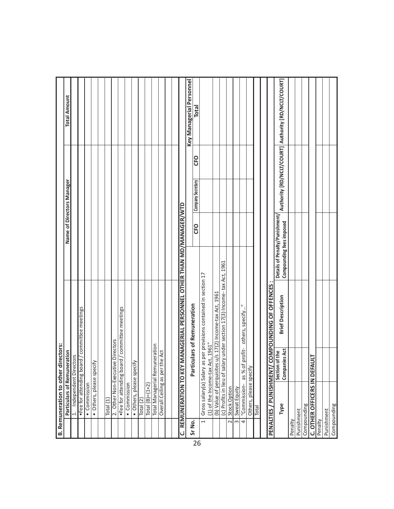| ம்      | Remuneration to other directors: |                                                                  |                                                            |                           |                                                     |
|---------|----------------------------------|------------------------------------------------------------------|------------------------------------------------------------|---------------------------|-----------------------------------------------------|
|         |                                  | Particulars of Remuneration                                      |                                                            | Name of Directors Manager | <b>Total Amount</b>                                 |
|         | $\overline{a}$                   | Independent Directors                                            |                                                            |                           |                                                     |
|         |                                  | •Fee for attending board / committee meetings                    |                                                            |                           |                                                     |
|         | • Commission                     |                                                                  |                                                            |                           |                                                     |
|         | • Others, please specify         |                                                                  |                                                            |                           |                                                     |
|         |                                  |                                                                  |                                                            |                           |                                                     |
|         | Total (1)                        |                                                                  |                                                            |                           |                                                     |
|         |                                  | 2. Other Non-Executive Directors                                 |                                                            |                           |                                                     |
|         |                                  | •Fee for attending board / committee meetings                    |                                                            |                           |                                                     |
|         | • Commission                     |                                                                  |                                                            |                           |                                                     |
|         | · Others, please speci           | Ψij                                                              |                                                            |                           |                                                     |
|         | Total $(2)$                      |                                                                  |                                                            |                           |                                                     |
|         | $Total(B)=(1+2)$                 |                                                                  |                                                            |                           |                                                     |
|         |                                  | Total Managerial Remuneration                                    |                                                            |                           |                                                     |
|         | Overall Ceiling as per           | the Act                                                          |                                                            |                           |                                                     |
|         |                                  |                                                                  |                                                            |                           |                                                     |
|         |                                  |                                                                  |                                                            |                           |                                                     |
|         | REMUNERATION TO KEY              | MANAGERIAL PERSONNEL OTHER THAN MD/MANAGER/WTD                   |                                                            |                           |                                                     |
| Sr No.  |                                  |                                                                  |                                                            |                           | Key Managerial Personnel                            |
| 26      |                                  | iculars of Remuneration<br>Parti                                 | CFO                                                        | CFO<br>Company Secretary  | Total                                               |
|         | $\overline{\phantom{0}}$         | Gross salary(a) Salary as per provisions contained in section 17 |                                                            |                           |                                                     |
|         | (1) of the Income-tax            | Act, 1961"                                                       |                                                            |                           |                                                     |
|         |                                  | (b) Value of perquisites u/s 17(2) Income-tax Act, 1961          |                                                            |                           |                                                     |
|         | (c) Profits in lieu of sal       | ary under section 17(3) Income-tax Act, 1961                     |                                                            |                           |                                                     |
|         | Stock Option<br>$\sim$           |                                                                  |                                                            |                           |                                                     |
|         | Sweat Equity<br>$\infty$         |                                                                  |                                                            |                           |                                                     |
|         | "Commission-<br>4                | Ξ<br>others, specify<br>profit-<br>as % of                       |                                                            |                           |                                                     |
|         | Others, please specify           |                                                                  |                                                            |                           |                                                     |
|         | Total                            |                                                                  |                                                            |                           |                                                     |
|         |                                  |                                                                  |                                                            |                           |                                                     |
|         | PENALTIES / PUNISHMENT/          | COMPOUNDING OF OFFENCES                                          |                                                            |                           |                                                     |
|         | Type                             | <b>Brief Description</b><br>Section of the<br>Companies Act      | Details of Penalty/Punishment/<br>Compounding fees imposed |                           | Authority [RD/NCLT/COURT] Authority [RD/NCLT/COURT] |
| Penalty |                                  |                                                                  |                                                            |                           |                                                     |
|         | Punishment                       |                                                                  |                                                            |                           |                                                     |
|         | Compounding                      |                                                                  |                                                            |                           |                                                     |
|         | C. OTHER OFFICERS IN DEFAULT     |                                                                  |                                                            |                           |                                                     |
| Penalty |                                  |                                                                  |                                                            |                           |                                                     |
|         | Punishment                       |                                                                  |                                                            |                           |                                                     |
|         | Compounding                      |                                                                  |                                                            |                           |                                                     |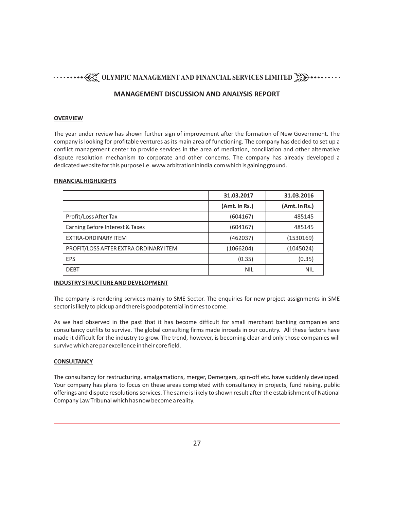#### **MANAGEMENT DISCUSSION AND ANALYSIS REPORT**

#### **OVERVIEW**

The year under review has shown further sign of improvement after the formation of New Government. The company is looking for profitable ventures as its main area of functioning. The company has decided to set up a conflict management center to provide services in the area of mediation, conciliation and other alternative dispute resolution mechanism to corporate and other concerns. The company has already developed a dedicated website for this purpose i.e. www.arbitrationinindia.com which is gaining ground.

#### **FINANCIAL HIGHLIGHTS**

|                                       | 31.03.2017    | 31.03.2016    |
|---------------------------------------|---------------|---------------|
|                                       | (Amt. In Rs.) | (Amt. In Rs.) |
| Profit/Loss After Tax                 | (604167)      | 485145        |
| Earning Before Interest & Taxes       | (604167)      | 485145        |
| EXTRA-ORDINARY ITEM                   | (462037)      | (1530169)     |
| PROFIT/LOSS AFTER EXTRA ORDINARY ITEM | (1066204)     | (1045024)     |
| EPS                                   | (0.35)        | (0.35)        |
| <b>DEBT</b>                           | <b>NIL</b>    | NIL           |

#### **INDUSTRY STRUCTURE AND DEVELOPMENT**

The company is rendering services mainly to SME Sector. The enquiries for new project assignments in SME sector is likely to pick up and there is good potential in times to come.

As we had observed in the past that it has become difficult for small merchant banking companies and consultancy outfits to survive. The global consulting firms made inroads in our country. All these factors have made it difficult for the industry to grow. The trend, however, is becoming clear and only those companies will survive which are par excellence in their core field.

#### **CONSULTANCY**

The consultancy for restructuring, amalgamations, merger, Demergers, spin-off etc. have suddenly developed. Your company has plans to focus on these areas completed with consultancy in projects, fund raising, public offerings and dispute resolutions services. The same is likely to shown result after the establishment of National Company Law Tribunal which has now become a reality.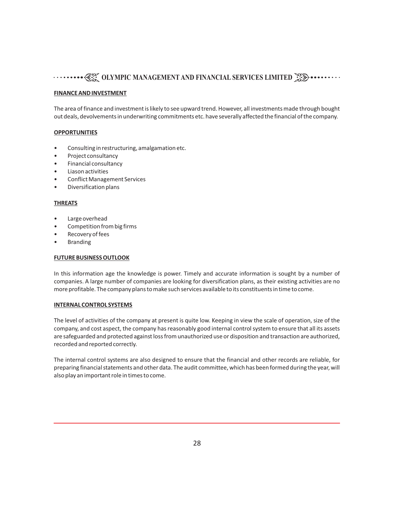#### **FINANCE AND INVESTMENT**

The area of finance and investment is likely to see upward trend. However, all investments made through bought out deals, devolvements in underwriting commitments etc. have severally affected the financial of the company.

#### **OPPORTUNITIES**

- Consulting in restructuring, amalgamation etc.
- Project consultancy
- Financial consultancy
- Liason activities
- Conflict Management Services
- Diversification plans

#### **THREATS**

- Large overhead
- Competition from big firms
- Recovery of fees
- Branding

#### **FUTURE BUSINESS OUTLOOK**

In this information age the knowledge is power. Timely and accurate information is sought by a number of companies. A large number of companies are looking for diversification plans, as their existing activities are no more profitable. The company plans to make such services available to its constituents in time to come.

#### **INTERNAL CONTROL SYSTEMS**

The level of activities of the company at present is quite low. Keeping in view the scale of operation, size of the company, and cost aspect, the company has reasonably good internal control system to ensure that all its assets are safeguarded and protected against loss from unauthorized use or disposition and transaction are authorized, recorded and reported correctly.

The internal control systems are also designed to ensure that the financial and other records are reliable, for preparing financial statements and other data. The audit committee, which has been formed during the year, will also play an important role in times to come.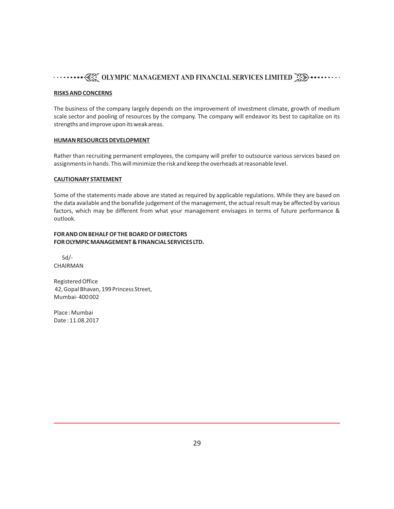#### **RISKS AND CONCERNS**

The business of the company largely depends on the improvement of investment climate, growth of medium scale sector and pooling of resources by the company. The company will endeavor its best to capitalize on its strengths and improve upon its weak areas.

#### **HUMAN RESOURCES DEVELOPMENT**

Rather than recruiting permanent employees, the company will prefer to outsource various services based on assignments in hands. This will minimize the risk and keep the overheads at reasonable level.

#### **CAUTIONARY STATEMENT**

Some of the statements made above are stated as required by applicable regulations. While they are based on the data available and the bonafide judgement of the management, the actual result may be affected by various factors, which may be different from what your management envisages in terms of future performance & outlook.

#### **FOR AND ON BEHALF OF THE BOARD OF DIRECTORS FOR OLYMPIC MANAGEMENT & FINANCIAL SERVICES LTD.**

 Sd/- CHAIRMAN

Registered Office 42, Gopal Bhavan, 199 Princess Street, Mumbai- 400 002

Place : Mumbai Date : 11.08.2017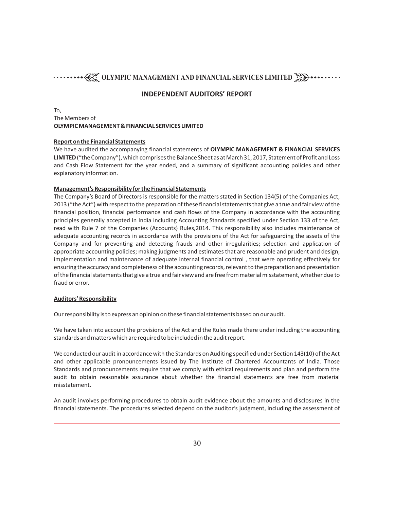#### **INDEPENDENT AUDITORS' REPORT**

#### To, The Members of **OLYMPIC MANAGEMENT & FINANCIAL SERVICES LIMITED**

#### **Report on the Financial Statements**

We have audited the accompanying financial statements of **OLYMPIC MANAGEMENT & FINANCIAL SERVICES LIMITED**("the Company"), which comprises the Balance Sheet as at March 31, 2017, Statement of Profit and Loss and Cash Flow Statement for the year ended, and a summary of significant accounting policies and other explanatory information.

#### **Management's Responsibility for the Financial Statements**

The Company's Board of Directors is responsible for the matters stated in Section 134(5) of the Companies Act, 2013 ("the Act") with respect to the preparation of these financial statements that give a true and fair view of the financial position, financial performance and cash flows of the Company in accordance with the accounting principles generally accepted in India including Accounting Standards specified under Section 133 of the Act, read with Rule 7 of the Companies (Accounts) Rules,2014. This responsibility also includes maintenance of adequate accounting records in accordance with the provisions of the Act for safeguarding the assets of the Company and for preventing and detecting frauds and other irregularities; selection and application of appropriate accounting policies; making judgments and estimates that are reasonable and prudent and design, implementation and maintenance of adequate internal financial control , that were operating effectively for ensuring the accuracy and completeness of the accounting records, relevant to the preparation and presentation of the financial statements that give a true and fair view and are free from material misstatement, whether due to fraud or error.

#### **Auditors' Responsibility**

Our responsibility is to express an opinion on these financial statements based on our audit.

We have taken into account the provisions of the Act and the Rules made there under including the accounting standards and matters which are required to be included in the audit report.

We conducted our audit in accordance with the Standards on Auditing specified under Section 143(10) of the Act and other applicable pronouncements issued by The Institute of Chartered Accountants of India. Those Standards and pronouncements require that we comply with ethical requirements and plan and perform the audit to obtain reasonable assurance about whether the financial statements are free from material misstatement.

An audit involves performing procedures to obtain audit evidence about the amounts and disclosures in the financial statements. The procedures selected depend on the auditor's judgment, including the assessment of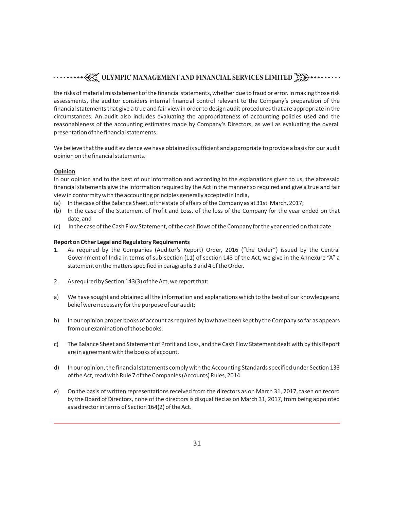the risks of material misstatement of the financial statements, whether due to fraud or error. In making those risk assessments, the auditor considers internal financial control relevant to the Company's preparation of the financial statements that give a true and fair view in order to design audit procedures that are appropriate in the circumstances. An audit also includes evaluating the appropriateness of accounting policies used and the reasonableness of the accounting estimates made by Company's Directors, as well as evaluating the overall presentation of the financial statements.

We believe that the audit evidence we have obtained is sufficient and appropriate to provide a basis for our audit opinion on the financial statements.

#### **Opinion**

In our opinion and to the best of our information and according to the explanations given to us, the aforesaid financial statements give the information required by the Act in the manner so required and give a true and fair view in conformity with the accounting principles generally accepted in India,

- (a) In the case of the Balance Sheet, of the state of affairs of the Company as at 31st March, 2017;
- (b) In the case of the Statement of Profit and Loss, of the loss of the Company for the year ended on that date, and
- (c) In the case of the Cash Flow Statement, of the cash flows of the Company for the year ended on that date.

#### **Report on Other Legal and Regulatory Requirements**

- 1. As required by the Companies (Auditor's Report) Order, 2016 ("the Order") issued by the Central Government of India in terms of sub-section (11) of section 143 of the Act, we give in the Annexure "A" a statement on the matters specified in paragraphs 3 and 4 of the Order.
- 2. As required by Section 143(3) of the Act, we report that:
- a) We have sought and obtained all the information and explanations which to the best of our knowledge and belief were necessary for the purpose of our audit;
- b) In our opinion proper books of account as required by law have been kept by the Company so far as appears from our examination of those books.
- c) The Balance Sheet and Statement of Profit and Loss, and the Cash Flow Statement dealt with by this Report are in agreement with the books of account.
- d) In our opinion, the financial statements comply with the Accounting Standards specified under Section 133 of the Act, read with Rule 7 of the Companies (Accounts) Rules, 2014.
- e) On the basis of written representations received from the directors as on March 31, 2017, taken on record by the Board of Directors, none of the directors is disqualified as on March 31, 2017, from being appointed as a director in terms of Section 164(2) of the Act.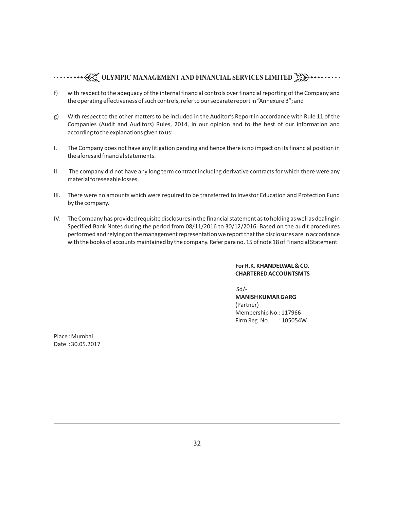- f) with respect to the adequacy of the internal financial controls over financial reporting of the Company and the operating effectiveness of such controls, refer to our separate report in "Annexure B"; and
- g) With respect to the other matters to be included in the Auditor's Report in accordance with Rule 11 of the Companies (Audit and Auditors) Rules, 2014, in our opinion and to the best of our information and according to the explanations given to us:
- I. The Company does not have any litigation pending and hence there is no impact on its financial position in the aforesaid financial statements.
- II. The company did not have any long term contract including derivative contracts for which there were any material foreseeable losses.
- III. There were no amounts which were required to be transferred to Investor Education and Protection Fund by the company.
- IV. The Company has provided requisite disclosures in the financial statement as to holding as well as dealing in Specified Bank Notes during the period from 08/11/2016 to 30/12/2016. Based on the audit procedures performed and relying on the management representation we report that the disclosures are in accordance with the books of accounts maintained by the company. Refer para no. 15 of note 18 of Financial Statement.

#### **For R.K. KHANDELWAL & CO. CHARTERED ACCOUNTSMTS**

Sd/-

**MANISH KUMAR GARG** (Partner) Membership No.: 117966 Firm Reg. No. : 105054W

Place : Mumbai Date : 30.05.2017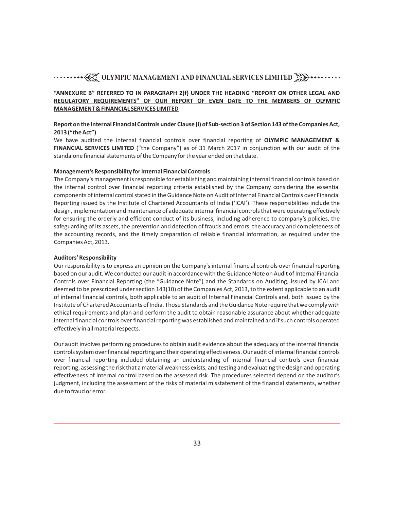#### **"ANNEXURE B" REFERRED TO IN PARAGRAPH 2(f) UNDER THE HEADING "REPORT ON OTHER LEGAL AND REGULATORY REQUIREMENTS" OF OUR REPORT OF EVEN DATE TO THE MEMBERS OF OLYMPIC MANAGEMENT & FINANCIAL SERVICES LIMITED**

#### **Report on the Internal Financial Controls under Clause (i) of Sub-section 3 of Section 143 of the Companies Act, 2013 ("the Act")**

We have audited the internal financial controls over financial reporting of **OLYMPIC MANAGEMENT & FINANCIAL SERVICES LIMITED** ("the Company") as of 31 March 2017 in conjunction with our audit of the standalone financial statements of the Company for the year ended on that date.

#### **Management's Responsibility for Internal Financial Controls**

The Company's management is responsible for establishing and maintaining internal financial controls based on the internal control over financial reporting criteria established by the Company considering the essential components of internal control stated in the Guidance Note on Audit of Internal Financial Controls over Financial Reporting issued by the Institute of Chartered Accountants of India ('ICAI'). These responsibilities include the design, implementation and maintenance of adequate internal financial controls that were operating effectively for ensuring the orderly and efficient conduct of its business, including adherence to company's policies, the safeguarding of its assets, the prevention and detection of frauds and errors, the accuracy and completeness of the accounting records, and the timely preparation of reliable financial information, as required under the Companies Act, 2013.

#### **Auditors' Responsibility**

Our responsibility is to express an opinion on the Company's internal financial controls over financial reporting based on our audit. We conducted our audit in accordance with the Guidance Note on Audit of Internal Financial Controls over Financial Reporting (the "Guidance Note") and the Standards on Auditing, issued by ICAI and deemed to be prescribed under section 143(10) of the Companies Act, 2013, to the extent applicable to an audit of internal financial controls, both applicable to an audit of Internal Financial Controls and, both issued by the Institute of Chartered Accountants of India. Those Standards and the Guidance Note require that we comply with ethical requirements and plan and perform the audit to obtain reasonable assurance about whether adequate internal financial controls over financial reporting was established and maintained and if such controls operated effectively in all material respects.

Our audit involves performing procedures to obtain audit evidence about the adequacy of the internal financial controls system over financial reporting and their operating effectiveness. Our audit of internal financial controls over financial reporting included obtaining an understanding of internal financial controls over financial reporting, assessing the risk that a material weakness exists, and testing and evaluating the design and operating effectiveness of internal control based on the assessed risk. The procedures selected depend on the auditor's judgment, including the assessment of the risks of material misstatement of the financial statements, whether due to fraud or error.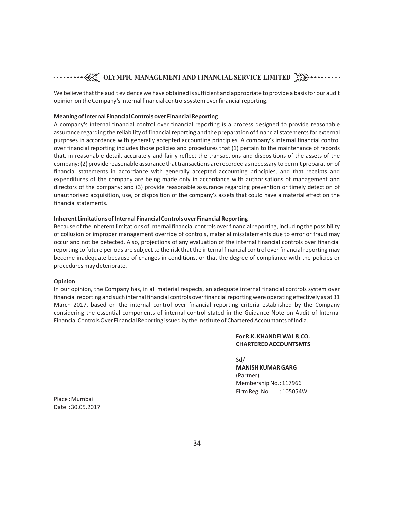We believe that the audit evidence we have obtained is sufficient and appropriate to provide a basis for our audit opinion on the Company's internal financial controls system over financial reporting.

#### **Meaning of Internal Financial Controls over Financial Reporting**

A company's internal financial control over financial reporting is a process designed to provide reasonable assurance regarding the reliability of financial reporting and the preparation of financial statements for external purposes in accordance with generally accepted accounting principles. A company's internal financial control over financial reporting includes those policies and procedures that (1) pertain to the maintenance of records that, in reasonable detail, accurately and fairly reflect the transactions and dispositions of the assets of the company; (2) provide reasonable assurance that transactions are recorded as necessary to permit preparation of financial statements in accordance with generally accepted accounting principles, and that receipts and expenditures of the company are being made only in accordance with authorisations of management and directors of the company; and (3) provide reasonable assurance regarding prevention or timely detection of unauthorised acquisition, use, or disposition of the company's assets that could have a material effect on the financial statements.

#### **Inherent Limitations of Internal Financial Controls over Financial Reporting**

Because of the inherent limitations of internal financial controls over financial reporting, including the possibility of collusion or improper management override of controls, material misstatements due to error or fraud may occur and not be detected. Also, projections of any evaluation of the internal financial controls over financial reporting to future periods are subject to the risk that the internal financial control over financial reporting may become inadequate because of changes in conditions, or that the degree of compliance with the policies or procedures may deteriorate.

#### **Opinion**

In our opinion, the Company has, in all material respects, an adequate internal financial controls system over financial reporting and such internal financial controls over financial reporting were operating effectively as at 31 March 2017, based on the internal control over financial reporting criteria established by the Company considering the essential components of internal control stated in the Guidance Note on Audit of Internal Financial Controls Over Financial Reporting issued by the Institute of Chartered Accountants of India.

#### **For R.K. KHANDELWAL & CO. CHARTERED ACCOUNTSMTS**

Sd/- **MANISH KUMAR GARG** (Partner)

Membership No.: 117966 Firm Reg. No. : 105054W

Place : Mumbai Date : 30.05.2017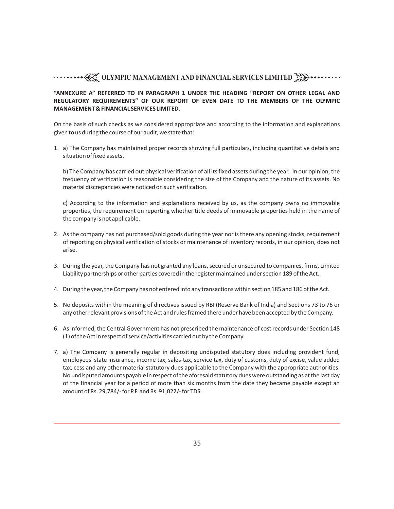#### **"ANNEXURE A" REFERRED TO IN PARAGRAPH 1 UNDER THE HEADING "REPORT ON OTHER LEGAL AND REGULATORY REQUIREMENTS" OF OUR REPORT OF EVEN DATE TO THE MEMBERS OF THE OLYMPIC MANAGEMENT & FINANCIAL SERVICES LIMITED.**

On the basis of such checks as we considered appropriate and according to the information and explanations given to us during the course of our audit, we state that:

1. a) The Company has maintained proper records showing full particulars, including quantitative details and situation of fixed assets.

b) The Company has carried out physical verification of all its fixed assets during the year. In our opinion, the frequency of verification is reasonable considering the size of the Company and the nature of its assets. No material discrepancies were noticed on such verification.

c) According to the information and explanations received by us, as the company owns no immovable properties, the requirement on reporting whether title deeds of immovable properties held in the name of the company is not applicable.

- 2. As the company has not purchased/sold goods during the year nor is there any opening stocks, requirement of reporting on physical verification of stocks or maintenance of inventory records, in our opinion, does not arise.
- 3. During the year, the Company has not granted any loans, secured or unsecured to companies, firms, Limited Liability partnerships or other parties covered in the register maintained under section 189 of the Act.
- 4. During the year, the Company has not entered into any transactions within section 185 and 186 of the Act.
- 5. No deposits within the meaning of directives issued by RBI (Reserve Bank of India) and Sections 73 to 76 or any other relevant provisions of the Act and rules framed there under have been accepted by the Company.
- 6. As informed, the Central Government has not prescribed the maintenance of cost records under Section 148 (1) of the Act in respect of service/activities carried out by the Company.
- 7. a) The Company is generally regular in depositing undisputed statutory dues including provident fund, employees' state insurance, income tax, sales-tax, service tax, duty of customs, duty of excise, value added tax, cess and any other material statutory dues applicable to the Company with the appropriate authorities. No undisputed amounts payable in respect of the aforesaid statutory dues were outstanding as at the last day of the financial year for a period of more than six months from the date they became payable except an amount of Rs. 29,784/- for P.F. and Rs. 91,022/- for TDS.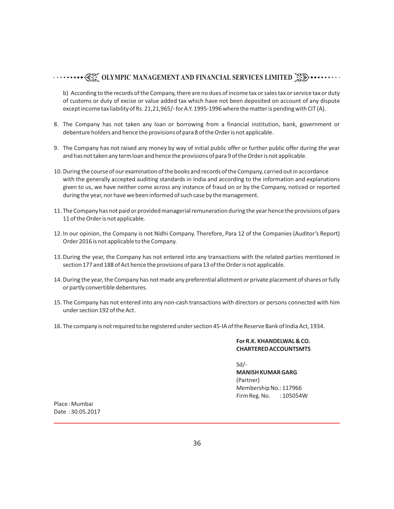b) According to the records of the Company, there are no dues of income tax or sales tax or service tax or duty of customs or duty of excise or value added tax which have not been deposited on account of any dispute except income tax liability of Rs. 21,21,965/- for A.Y. 1995-1996 where the matter is pending with CIT (A).

- 8. The Company has not taken any loan or borrowing from a financial institution, bank, government or debenture holders and hence the provisions of para 8 of the Order is not applicable.
- 9. The Company has not raised any money by way of initial public offer or further public offer during the year and has not taken any term loan and hence the provisions of para 9 of the Order is not applicable.
- 10.During the course of our examination of the books and records of the Company, carried out in accordance with the generally accepted auditing standards in India and according to the information and explanations given to us, we have neither come across any instance of fraud on or by the Company, noticed or reported during the year, nor have we been informed of such case by the management.
- 11. The Company has not paid or provided managerial remuneration during the year hence the provisions of para 11 of the Order is not applicable.
- 12. In our opinion, the Company is not Nidhi Company. Therefore, Para 12 of the Companies (Auditor's Report) Order 2016 is not applicable to the Company.
- 13.During the year, the Company has not entered into any transactions with the related parties mentioned in section 177 and 188 of Act hence the provisions of para 13 of the Order is not applicable.
- 14.During the year, the Company has not made any preferential allotment or private placement of shares or fully or partly convertible debentures.
- 15. The Company has not entered into any non-cash transactions with directors or persons connected with him under section 192 of the Act.
- 16. The company is not required to be registered under section 45-IA of the Reserve Bank of India Act, 1934.

#### **For R.K. KHANDELWAL & CO. CHARTERED ACCOUNTSMTS**

Sd/- **MANISH KUMAR GARG** (Partner) Membership No.: 117966 Firm Reg. No. : 105054W

Place : Mumbai Date : 30.05.2017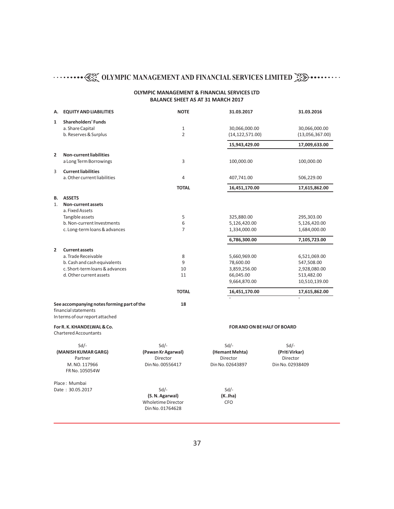#### **OLYMPIC MANAGEMENT & FINANCIAL SERVICES LTD BALANCE SHEET AS AT 31 MARCH 2017**

| А.             | <b>EQUITY AND LIABILITIES</b>                                      | <b>NOTE</b>                  | 31.03.2017                   | 31.03.2016                  |
|----------------|--------------------------------------------------------------------|------------------------------|------------------------------|-----------------------------|
| $\mathbf{1}$   | <b>Shareholders' Funds</b>                                         |                              |                              |                             |
|                | a. Share Capital                                                   | $\mathbf{1}$                 | 30,066,000.00                | 30,066,000.00               |
|                | b. Reserves & Surplus                                              | $\overline{2}$               | (14, 122, 571.00)            | (13,056,367.00)             |
|                |                                                                    |                              | 15,943,429.00                | 17,009,633.00               |
| $\overline{2}$ | <b>Non-current liabilities</b>                                     |                              |                              |                             |
|                | a Long Term Borrowings                                             | 3                            | 100,000.00                   | 100,000.00                  |
| 3              | <b>Current liabilities</b><br>a. Other current liabilities         | 4                            |                              |                             |
|                |                                                                    |                              | 407,741.00                   | 506,229.00                  |
|                |                                                                    | <b>TOTAL</b>                 | 16,451,170.00                | 17,615,862.00               |
| В.             | <b>ASSETS</b>                                                      |                              |                              |                             |
| 1.             | Non-current assets                                                 |                              |                              |                             |
|                | a. Fixed Assets                                                    |                              |                              |                             |
|                | Tangible assets<br>b. Non-current Investments                      | 5<br>6                       | 325,880.00<br>5,126,420.00   | 295,303.00<br>5,126,420.00  |
|                | c. Long-term loans & advances                                      | $\overline{7}$               | 1,334,000.00                 | 1,684,000.00                |
|                |                                                                    |                              |                              |                             |
|                |                                                                    |                              | 6,786,300.00                 | 7,105,723.00                |
| $\overline{2}$ | <b>Current assets</b>                                              |                              |                              |                             |
|                | a. Trade Receivable                                                | 8                            | 5,660,969.00                 | 6,521,069.00                |
|                | b. Cash and cash equivalents                                       | 9                            | 78,600.00                    | 547,508.00                  |
|                | c. Short-term loans & advances                                     | 10                           | 3,859,256.00                 | 2,928,080.00                |
|                | d. Other current assets                                            | 11                           | 66,045.00                    | 513,482.00                  |
|                |                                                                    |                              | 9,664,870.00                 | 10,510,139.00               |
|                |                                                                    | <b>TOTAL</b>                 | 16,451,170.00                | 17,615,862.00               |
|                | See accompanying notes forming part of the<br>financial statements | 18                           |                              |                             |
|                | In terms of our report attached                                    |                              |                              |                             |
|                | For R. K. KHANDELWAL & Co.<br><b>Chartered Accountants</b>         |                              |                              | FOR AND ON BE HALF OF BOARD |
|                |                                                                    |                              |                              |                             |
|                | $Sd$ /-                                                            | $Sd$ /-                      | $Sd$ /-                      | $Sd$ /-                     |
|                | (MANISH KUMAR GARG)                                                | (Pawan Kr Agarwal)           | (Hemant Mehta)               | (Priti Virkar)              |
|                | Partner                                                            | Director<br>Din No. 00556417 | Director<br>Din No. 02643897 | <b>Director</b>             |
|                | M. NO. 117966<br>FR No. 105054W                                    |                              |                              | Din No. 02938409            |
|                |                                                                    |                              |                              |                             |
|                | Place: Mumbai                                                      |                              |                              |                             |
|                | Date: 30.05.2017                                                   | $Sd$ /-                      | $Sd$ /-                      |                             |
|                |                                                                    | (S. N. Agarwal)              | (K.Jha)                      |                             |
|                |                                                                    | <b>Wholetime Director</b>    | <b>CFO</b>                   |                             |
|                |                                                                    | Din No. 01764628             |                              |                             |
|                |                                                                    |                              |                              |                             |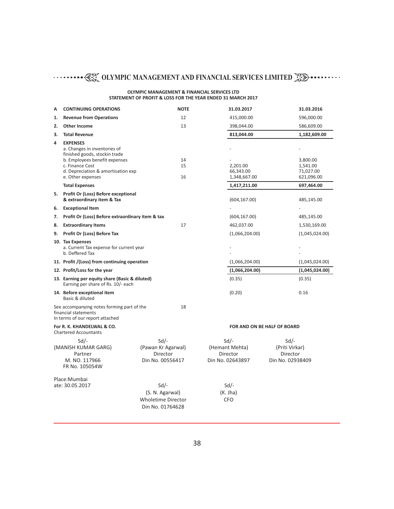#### **OLYMPIC MANAGEMENT & FINANCIAL SERVICES LTD STATEMENT OF PROFIT & LOSS FOR THE YEAR ENDED 31 MARCH 2017**

| A  | <b>CONTINUING OPERATIONS</b>                                                                                                                                                                    | <b>NOTE</b>                                                                | 31.03.2017                                                | 31.03.2016                                               |
|----|-------------------------------------------------------------------------------------------------------------------------------------------------------------------------------------------------|----------------------------------------------------------------------------|-----------------------------------------------------------|----------------------------------------------------------|
| 1. | <b>Revenue from Operations</b>                                                                                                                                                                  | 12                                                                         | 415,000.00                                                | 596,000.00                                               |
| 2. | <b>Other Income</b>                                                                                                                                                                             | 13                                                                         | 398,044.00                                                | 586,609.00                                               |
| 3. | <b>Total Revenue</b>                                                                                                                                                                            |                                                                            | 813,044.00                                                | 1,182,609.00                                             |
| 4  | <b>EXPENSES</b><br>a. Changes in inventories of<br>finished goods, stockin trade<br>b. Employees benefit expenses<br>c. Finance Cost<br>d. Depreciation & amortisation exp<br>e. Other expenses | 14<br>15<br>16                                                             | 2,201.00<br>66,343.00<br>1,348,667.00                     | 3,800.00<br>1,541.00<br>71,027.00<br>621,096.00          |
|    | <b>Total Expenses</b>                                                                                                                                                                           |                                                                            | 1,417,211.00                                              | 697,464.00                                               |
| 5. | <b>Profit Or (Loss) Before exceptional</b><br>& extraordinary item & Tax                                                                                                                        |                                                                            | (604, 167.00)                                             | 485,145.00                                               |
| 6. | <b>Exceptional Item</b>                                                                                                                                                                         |                                                                            |                                                           |                                                          |
| 7. | Profit Or (Loss) Before extraordinary item & tax                                                                                                                                                |                                                                            | (604, 167.00)                                             | 485,145.00                                               |
| 8. | <b>Extraordinary Items</b>                                                                                                                                                                      | 17                                                                         | 462,037.00                                                | 1,530,169.00                                             |
| 9. | Profit Or (Loss) Before Tax                                                                                                                                                                     |                                                                            | (1,066,204.00)                                            | (1,045,024.00)                                           |
|    | 10. Tax Expenses<br>a. Current Tax expense for current year<br>b. Deffered Tax                                                                                                                  |                                                                            |                                                           |                                                          |
|    | 11. Profit /(Loss) from continuing operation                                                                                                                                                    |                                                                            | (1,066,204.00)                                            | (1,045,024.00)                                           |
|    | 12. Profit/Loss for the year                                                                                                                                                                    |                                                                            | (1,066,204.00)                                            | (1,045,024.00)                                           |
|    | 13. Earning per equity share (Basic & diluted)<br>Earning per share of Rs. 10/- each                                                                                                            |                                                                            | (0.35)                                                    | (0.35)                                                   |
|    | 14. Before exceptional item<br>Basic & diluted                                                                                                                                                  |                                                                            | (0.20)                                                    | 0.16                                                     |
|    | See accompanying notes forming part of the<br>financial statements<br>In terms of our report attached                                                                                           | 18                                                                         |                                                           |                                                          |
|    | For R. K. KHANDELWAL & CO.<br><b>Chartered Accountants</b>                                                                                                                                      |                                                                            | FOR AND ON BE HALF OF BOARD                               |                                                          |
|    | $Sd$ /-<br>(MANISH KUMAR GARG)<br>Partner<br>M. NO. 117966<br>FR No. 105054W                                                                                                                    | $Sd$ /-<br>(Pawan Kr Agarwal)<br>Director<br>Din No. 00556417              | $Sd$ /-<br>(Hemant Mehta)<br>Director<br>Din No. 02643897 | $Sd/-$<br>(Priti Virkar)<br>Director<br>Din No. 02938409 |
|    | Place:Mumbai<br>ate: 30.05.2017                                                                                                                                                                 | $Sd/-$<br>(S. N. Agarwal)<br><b>Wholetime Director</b><br>Din No. 01764628 | $Sd$ /-<br>(K. Jha)<br><b>CFO</b>                         |                                                          |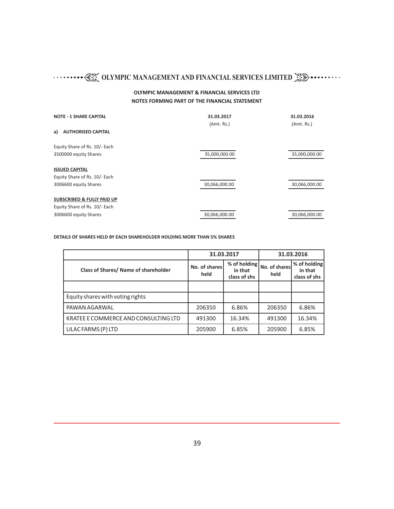#### **OLYMPIC MANAGEMENT & FINANCIAL SERVICES LTD NOTES FORMING PART OF THE FINANCIAL STATEMENT**

| <b>NOTE - 1 SHARE CAPITAL</b>         | 31.03.2017<br>(Amt. Rs.) | 31.03.2016<br>(Amt. Rs.) |
|---------------------------------------|--------------------------|--------------------------|
| <b>AUTHORISED CAPITAL</b><br>a)       |                          |                          |
| Equity Share of Rs. 10/- Each         |                          |                          |
| 3500000 equity Shares                 | 35,000,000.00            | 35,000,000.00            |
| <b>ISSUED CAPITAL</b>                 |                          |                          |
| Equity Share of Rs. 10/- Each         |                          |                          |
| 3006600 equity Shares                 | 30,066,000.00            | 30,066,000.00            |
| <b>SUBSCRIBED &amp; FULLY PAID UP</b> |                          |                          |
| Equity Share of Rs. 10/- Each         |                          |                          |
| 3006600 equity Shares                 | 30,066,000.00            | 30,066,000.00            |

#### **DETAILS OF SHARES HELD BY EACH SHAREHOLDER HOLDING MORE THAN 5% SHARES**

|                                      |                       | 31.03.2017                              |                       | 31.03.2016                              |  |
|--------------------------------------|-----------------------|-----------------------------------------|-----------------------|-----------------------------------------|--|
| Class of Shares/ Name of shareholder | No. of shares<br>held | % of holding<br>in that<br>class of shs | No. of shares<br>held | % of holding<br>in that<br>class of shs |  |
|                                      |                       |                                         |                       |                                         |  |
| Equity shares with voting rights     |                       |                                         |                       |                                         |  |
| PAWAN AGARWAL                        | 206350                | 6.86%                                   | 206350                | 6.86%                                   |  |
| KRATEE E COMMERCE AND CONSULTING LTD | 491300                | 16.34%                                  | 491300                | 16.34%                                  |  |
| LILAC FARMS (P) LTD                  | 205900                | 6.85%                                   | 205900                | 6.85%                                   |  |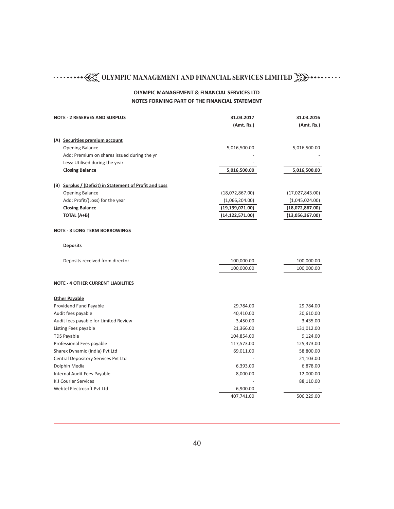| <b>NOTE - 2 RESERVES AND SURPLUS</b>                    | 31.03.2017               | 31.03.2016               |
|---------------------------------------------------------|--------------------------|--------------------------|
|                                                         | (Amt. Rs.)               | (Amt. Rs.)               |
| (A) Securities premium account                          |                          |                          |
| <b>Opening Balance</b>                                  | 5,016,500.00             | 5,016,500.00             |
| Add: Premium on shares issued during the yr             |                          |                          |
| Less: Utilised during the year                          |                          |                          |
| <b>Closing Balance</b>                                  | 5,016,500.00             | 5,016,500.00             |
| (B) Surplus / (Deficit) in Statement of Profit and Loss |                          |                          |
| <b>Opening Balance</b>                                  | (18,072,867.00)          | (17,027,843.00)          |
| Add: Profit/(Loss) for the year                         | (1,066,204.00)           | (1,045,024.00)           |
| <b>Closing Balance</b>                                  | (19, 139, 071.00)        | (18,072,867.00)          |
| TOTAL (A+B)                                             | (14, 122, 571.00)        | (13,056,367.00)          |
| <b>NOTE - 3 LONG TERM BORROWINGS</b>                    |                          |                          |
| <b>Deposits</b>                                         |                          |                          |
| Deposits received from director                         | 100,000.00<br>100,000.00 | 100,000.00<br>100,000.00 |
| <b>NOTE - 4 OTHER CURRENT LIABILITIES</b>               |                          |                          |
| <b>Other Payable</b>                                    |                          |                          |
| Providend Fund Payable                                  | 29,784.00                | 29,784.00                |
| Audit fees payable                                      | 40,410.00                | 20,610.00                |
| Audit fees payable for Limited Review                   | 3,450.00                 | 3,435.00                 |
| Listing Fees payable                                    | 21,366.00                | 131,012.00               |
| <b>TDS Payable</b>                                      | 104,854.00               | 9,124.00                 |
| Professional Fees payable                               | 117,573.00               | 125,373.00               |
| Sharex Dynamic (India) Pvt Ltd                          | 69,011.00                | 58,800.00                |
| Central Depository Services Pvt Ltd                     |                          | 21,103.00                |
| Dolphin Media                                           | 6,393.00                 | 6,878.00                 |
| Internal Audit Fees Payable                             | 8,000.00                 | 12,000.00                |
| <b>KJ Courier Services</b>                              |                          | 88,110.00                |
| Webtel Electrosoft Pvt Ltd                              | 6,900.00                 |                          |
|                                                         | 407,741.00               | 506,229.00               |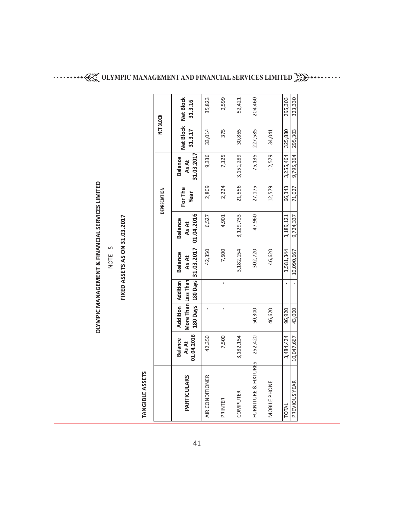| ······•• < EX OLYMPIC MANAGEMENT AND FINANCIAL SERVICES LIMITED ~ < < < < < < < < < < < < < < < < < |  |
|-----------------------------------------------------------------------------------------------------|--|
|                                                                                                     |  |

 $\ddot{\phantom{0}}$ 

# NOTE - 5

# **FIXED ASSETS AS O N 31.03.2017**

# **TA NGIBLE ASSETS**

| 31.03.2017<br>12,579<br>3,151,289<br>75,135<br>9,795,364<br>9,336<br>3,255,464<br>7,125<br><b>Balance</b><br>As At<br>21,556<br>66,343<br>27,175<br>2,224<br>12,579<br>2,809<br>For The<br>Year<br>01.04.2016<br>3,129,733<br>47,960<br>4,901<br>9,724,337<br>6,527<br>3,189,121<br><b>Balance</b><br>As At<br>180 Days   180 Days   31.03.2017<br>3,182,154<br>3,581,344<br>302,720<br>42,350<br>7,500<br>10,090,667<br>46,620<br><b>Balance</b><br>As At<br>More Than Less Than<br>Addition Addition<br>50,300<br>43,000<br>46,620<br>96,920<br>01.04.2016<br>252,420<br>3,484,424<br>3,182,154<br>10,047,667<br>7,500<br>42,350<br><b>Balance</b><br>As At<br>FURNITURE & FIXTURES<br>PARTICULARS<br>AIR CONDITIONER<br>PREVIOUS YEAR<br>MOBILE PHONE<br>COMPUTER<br>PRINTER<br>TOTAL |  |  |  | DEPRECIATION | <b>NET BLOCK</b> |                                  |
|------------------------------------------------------------------------------------------------------------------------------------------------------------------------------------------------------------------------------------------------------------------------------------------------------------------------------------------------------------------------------------------------------------------------------------------------------------------------------------------------------------------------------------------------------------------------------------------------------------------------------------------------------------------------------------------------------------------------------------------------------------------------------------------|--|--|--|--------------|------------------|----------------------------------|
|                                                                                                                                                                                                                                                                                                                                                                                                                                                                                                                                                                                                                                                                                                                                                                                          |  |  |  |              | 31.3.17          | Net Block   Net Block<br>31.3.16 |
|                                                                                                                                                                                                                                                                                                                                                                                                                                                                                                                                                                                                                                                                                                                                                                                          |  |  |  |              | 33,014           | 35,823                           |
|                                                                                                                                                                                                                                                                                                                                                                                                                                                                                                                                                                                                                                                                                                                                                                                          |  |  |  |              | 375              | 2,599                            |
|                                                                                                                                                                                                                                                                                                                                                                                                                                                                                                                                                                                                                                                                                                                                                                                          |  |  |  |              | 30,865           | 52,421                           |
|                                                                                                                                                                                                                                                                                                                                                                                                                                                                                                                                                                                                                                                                                                                                                                                          |  |  |  |              | 227,585          | 204,460                          |
|                                                                                                                                                                                                                                                                                                                                                                                                                                                                                                                                                                                                                                                                                                                                                                                          |  |  |  |              | 34,041           |                                  |
|                                                                                                                                                                                                                                                                                                                                                                                                                                                                                                                                                                                                                                                                                                                                                                                          |  |  |  |              | 325,880          | 295,303                          |
|                                                                                                                                                                                                                                                                                                                                                                                                                                                                                                                                                                                                                                                                                                                                                                                          |  |  |  | 71,027       | 295,303          | 323,330                          |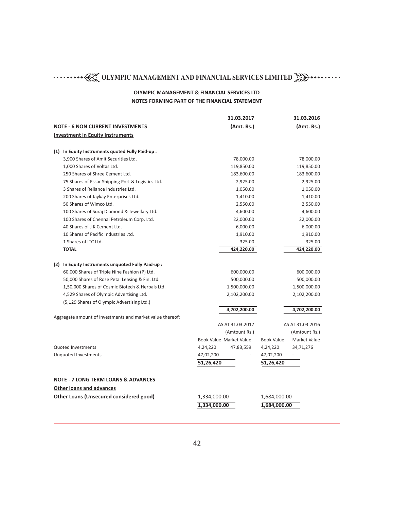|                                                           |              | 31.03.2017                     |                   | 31.03.2016               |
|-----------------------------------------------------------|--------------|--------------------------------|-------------------|--------------------------|
| <b>NOTE - 6 NON CURRENT INVESTMENTS</b>                   |              | (Amt. Rs.)                     |                   | (Amt. Rs.)               |
| <b>Investment in Equity Instruments</b>                   |              |                                |                   |                          |
|                                                           |              |                                |                   |                          |
| (1) In Equity Instruments quoted Fully Paid-up:           |              |                                |                   |                          |
| 3,900 Shares of Amit Securities Ltd.                      |              | 78,000.00                      |                   | 78,000.00                |
| 1,000 Shares of Voltas Ltd.                               |              | 119,850.00                     |                   | 119,850.00               |
| 250 Shares of Shree Cement Ltd.                           |              | 183,600.00                     |                   | 183,600.00               |
| 75 Shares of Essar Shipping Port & Logistics Ltd.         |              | 2,925.00                       |                   | 2,925.00                 |
| 3 Shares of Reliance Industries Ltd.                      |              | 1,050.00                       |                   | 1,050.00                 |
| 200 Shares of Jaykay Enterprises Ltd.                     |              | 1,410.00                       |                   | 1,410.00                 |
| 50 Shares of Wimco Ltd.                                   |              | 2,550.00                       |                   | 2,550.00                 |
| 100 Shares of Suraj Diamond & Jewellary Ltd.              |              | 4,600.00                       |                   | 4,600.00                 |
| 100 Shares of Chennai Petroleum Corp. Ltd.                |              | 22,000.00                      |                   | 22,000.00                |
| 40 Shares of J K Cement Ltd.                              |              | 6,000.00                       |                   | 6,000.00                 |
| 10 Shares of Pacific Industries Ltd.                      |              | 1,910.00                       |                   | 1,910.00                 |
| 1 Shares of ITC Ltd.                                      |              | 325.00                         |                   | 325.00                   |
| <b>TOTAL</b>                                              |              | 424,220.00                     |                   | 424,220.00               |
|                                                           |              |                                |                   |                          |
| (2) In Equity Instruments unquoted Fully Paid-up :        |              |                                |                   |                          |
| 60,000 Shares of Triple Nine Fashion (P) Ltd.             |              | 600,000.00                     |                   | 600,000.00               |
| 50,000 Shares of Rose Petal Leasing & Fin. Ltd.           |              | 500,000.00                     |                   | 500,000.00               |
| 1,50,000 Shares of Cosmic Biotech & Herbals Ltd.          |              | 1,500,000.00                   |                   | 1,500,000.00             |
| 4,529 Shares of Olympic Advertising Ltd.                  |              | 2,102,200.00                   |                   | 2,102,200.00             |
| (5,129 Shares of Olympic Advertising Ltd.)                |              |                                |                   |                          |
|                                                           |              | 4,702,200.00                   |                   | 4,702,200.00             |
| Aggregate amount of Investments and market value thereof: |              |                                |                   |                          |
|                                                           |              | AS AT 31.03.2017               |                   | AS AT 31.03.2016         |
|                                                           |              | (Amtount Rs.)                  |                   | (Amtount Rs.)            |
|                                                           |              | <b>Book Value Market Value</b> | <b>Book Value</b> | Market Value             |
| <b>Quoted Investments</b>                                 | 4,24,220     | 47,83,559                      | 4,24,220          | 34,71,276                |
| Unquoted Investments                                      | 47,02,200    |                                | 47,02,200         | $\overline{\phantom{a}}$ |
|                                                           | 51,26,420    |                                | 51,26,420         |                          |
| <b>NOTE - 7 LONG TERM LOANS &amp; ADVANCES</b>            |              |                                |                   |                          |
| <b>Other loans and advances</b>                           |              |                                |                   |                          |
| <b>Other Loans (Unsecured considered good)</b>            | 1,334,000.00 |                                | 1,684,000.00      |                          |
|                                                           |              |                                |                   |                          |
|                                                           | 1,334,000.00 |                                | 1,684,000.00      |                          |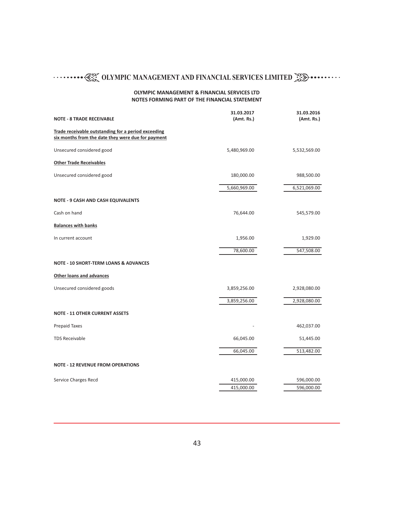| <b>NOTE - 8 TRADE RECEIVABLE</b>                                                                          | 31.03.2017<br>(Amt. Rs.) | 31.03.2016<br>(Amt. Rs.) |
|-----------------------------------------------------------------------------------------------------------|--------------------------|--------------------------|
|                                                                                                           |                          |                          |
| Trade receivable outstanding for a period exceeding<br>six months from the date they were due for payment |                          |                          |
| Unsecured considered good                                                                                 | 5,480,969.00             | 5,532,569.00             |
| <b>Other Trade Receivables</b>                                                                            |                          |                          |
| Unsecured considered good                                                                                 | 180,000.00               | 988,500.00               |
|                                                                                                           | 5,660,969.00             | 6,521,069.00             |
| <b>NOTE - 9 CASH AND CASH EQUIVALENTS</b>                                                                 |                          |                          |
| Cash on hand                                                                                              | 76,644.00                | 545,579.00               |
| <b>Balances with banks</b>                                                                                |                          |                          |
| In current account                                                                                        | 1,956.00                 | 1,929.00                 |
|                                                                                                           | 78,600.00                | 547,508.00               |
| <b>NOTE - 10 SHORT-TERM LOANS &amp; ADVANCES</b>                                                          |                          |                          |
| <b>Other loans and advances</b>                                                                           |                          |                          |
| Unsecured considered goods                                                                                | 3,859,256.00             | 2,928,080.00             |
|                                                                                                           | 3,859,256.00             | 2,928,080.00             |
| <b>NOTE - 11 OTHER CURRENT ASSETS</b>                                                                     |                          |                          |
| <b>Prepaid Taxes</b>                                                                                      |                          | 462,037.00               |
| <b>TDS Receivable</b>                                                                                     | 66,045.00                | 51,445.00                |
|                                                                                                           | 66,045.00                | 513,482.00               |
| <b>NOTE - 12 REVENUE FROM OPERATIONS</b>                                                                  |                          |                          |
| Service Charges Recd                                                                                      | 415,000.00               | 596,000.00               |
|                                                                                                           | 415,000.00               | 596,000.00               |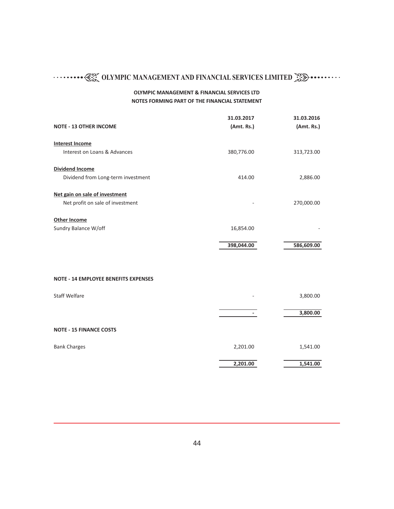| <b>NOTE - 13 OTHER INCOME</b>               | 31.03.2017<br>(Amt. Rs.) | 31.03.2016<br>(Amt. Rs.) |
|---------------------------------------------|--------------------------|--------------------------|
| <b>Interest Income</b>                      |                          |                          |
| Interest on Loans & Advances                | 380,776.00               | 313,723.00               |
| <b>Dividend Income</b>                      |                          |                          |
| Dividend from Long-term investment          | 414.00                   | 2,886.00                 |
| Net gain on sale of investment              |                          |                          |
| Net profit on sale of investment            |                          | 270,000.00               |
| <b>Other Income</b>                         |                          |                          |
| Sundry Balance W/off                        | 16,854.00                |                          |
|                                             | 398,044.00               | 586,609.00               |
|                                             |                          |                          |
| <b>NOTE - 14 EMPLOYEE BENEFITS EXPENSES</b> |                          |                          |
| <b>Staff Welfare</b>                        |                          | 3,800.00                 |
|                                             |                          | 3,800.00                 |
| <b>NOTE - 15 FINANCE COSTS</b>              |                          |                          |
| <b>Bank Charges</b>                         | 2,201.00                 | 1,541.00                 |
|                                             | 2,201.00                 | 1,541.00                 |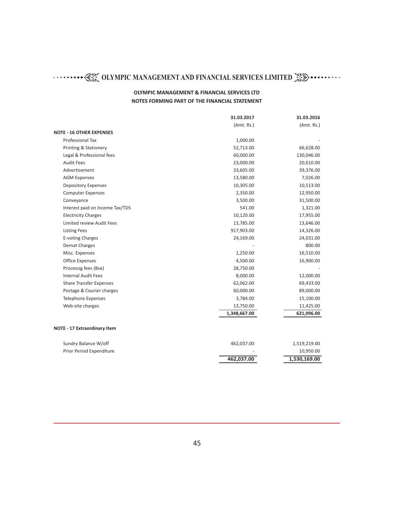|                                  | 31.03.2017   | 31.03.2016   |
|----------------------------------|--------------|--------------|
|                                  | (Amt. Rs.)   | (Amt. Rs.)   |
| <b>NOTE - 16 OTHER EXPENSES</b>  |              |              |
| <b>Professional Tax</b>          | 1,000.00     |              |
| <b>Printing &amp; Stationery</b> | 52,713.00    | 66,628.00    |
| Legal & Professional fees        | 60,000.00    | 130,046.00   |
| <b>Audit Fees</b>                | 23,000.00    | 20,610.00    |
| Advertisement                    | 33,605.00    | 39,376.00    |
| <b>AGM Expenses</b>              | 13,580.00    | 7,026.00     |
| <b>Depository Expenses</b>       | 10,305.00    | 10,513.00    |
| <b>Computer Expenses</b>         | 2,350.00     | 12,950.00    |
| Conveyance                       | 3,500.00     | 31,500.00    |
| Interest paid on Income Tax/TDS  | 541.00       | 1,321.00     |
| <b>Electricity Charges</b>       | 10,120.00    | 17,955.00    |
| <b>Limited review Audit Fees</b> | 13,785.00    | 13,646.00    |
| <b>Listing Fees</b>              | 917,903.00   | 14,326.00    |
| E-voting Charges                 | 24,169.00    | 24,031.00    |
| Demat Charges                    |              | 800.00       |
| Misc. Expenses                   | 1,250.00     | 16,510.00    |
| <b>Office Expenses</b>           | 4,500.00     | 16,900.00    |
| Processig fees (Bse)             | 28,750.00    |              |
| <b>Internal Audit Fees</b>       | 8,000.00     | 12,000.00    |
| <b>Share Transfer Expenses</b>   | 62,062.00    | 69,433.00    |
| Postage & Courier charges        | 60,000.00    | 89,000.00    |
| <b>Telephone Expenses</b>        | 3,784.00     | 15,100.00    |
| Web-site charges                 | 13,750.00    | 11,425.00    |
|                                  | 1,348,667.00 | 621,096.00   |
|                                  |              |              |
| NOTE - 17 Extraordinary Item     |              |              |
| Sundry Balance W/off             | 462,037.00   | 1,519,219.00 |
| Prior Period Expenditure         |              | 10,950.00    |
|                                  | 462,037.00   | 1,530,169.00 |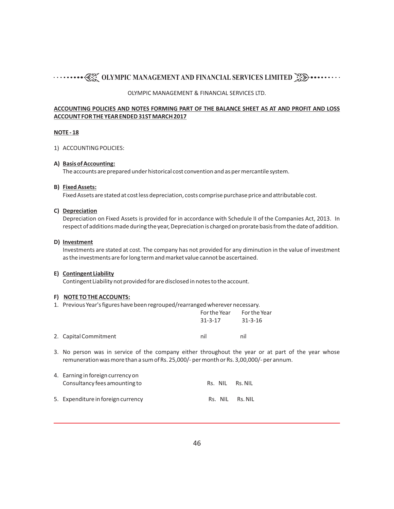#### OLYMPIC MANAGEMENT & FINANCIAL SERVICES LTD.

#### **ACCOUNTING POLICIES AND NOTES FORMING PART OF THE BALANCE SHEET AS AT AND PROFIT AND LOSS ACCOUNT FOR THE YEAR ENDED 31ST MARCH 2017**

#### **NOTE - 18**

#### 1) ACCOUNTING POLICIES:

#### **A) Basis of Accounting:**

The accounts are prepared under historical cost convention and as per mercantile system.

#### **B) Fixed Assets:**

Fixed Assets are stated at cost less depreciation, costs comprise purchase price and attributable cost.

#### **C) Depreciation**

Depreciation on Fixed Assets is provided for in accordance with Schedule II of the Companies Act, 2013. In respect of additions made during the year, Depreciation is charged on prorate basis from the date of addition.

#### **D) Investment**

Investments are stated at cost. The company has not provided for any diminution in the value of investment as the investments are for long term and market value cannot be ascertained.

#### **E) Contingent Liability**

Contingent Liability not provided for are disclosed in notes to the account.

#### **F) NOTE TO THE ACCOUNTS:**

1. Previous Year's figures have been regrouped/rearranged wherever necessary.

|                       | For the Year For the Year |         |
|-----------------------|---------------------------|---------|
|                       | 31-3-17                   | 31-3-16 |
| 2. Capital Commitment | nil                       | nil     |

3. No person was in service of the company either throughout the year or at part of the year whose remuneration was more than a sum of Rs. 25,000/- per month or Rs. 3,00,000/- per annum.

| 4. Earning in foreign currency on<br>Consultancy fees amounting to | Rs. NIL | Rs. NIL         |
|--------------------------------------------------------------------|---------|-----------------|
| 5. Expenditure in foreign currency                                 |         | Rs. NIL Rs. NIL |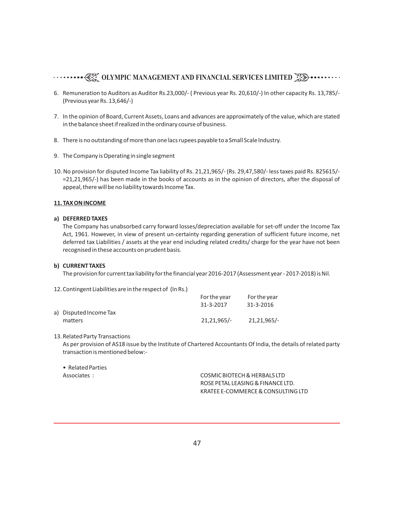- 6. Remuneration to Auditors as Auditor Rs.23,000/- ( Previous year Rs. 20,610/-) In other capacity Rs. 13,785/- (Previous year Rs. 13,646/-)
- 7. In the opinion of Board, Current Assets, Loans and advances are approximately of the value, which are stated in the balance sheet if realized in the ordinary course of business.
- 8. There is no outstanding of more than one lacs rupees payable to a Small Scale Industry.
- 9. The Company is Operating in single segment
- 10. No provision for disputed Income Tax liability of Rs. 21,21,965/- (Rs. 29,47,580/- less taxes paid Rs. 825615/- =21,21,965/-) has been made in the books of accounts as in the opinion of directors, after the disposal of appeal, there will be no liability towards Income Tax.

#### **11. TAX ON INCOME**

#### **a) DEFERRED TAXES**

The Company has unabsorbed carry forward losses/depreciation available for set-off under the Income Tax Act, 1961. However, in view of present un-certainty regarding generation of sufficient future income, net deferred tax Liabilities / assets at the year end including related credits/ charge for the year have not been recognised in these accounts on prudent basis.

#### **b) CURRENT TAXES**

The provision for current tax liability for the financial year 2016-2017 (Assessment year - 2017-2018) is Nil.

#### 12.Contingent Liabilities are in the respect of (In Rs.)

|                        | For the year | For the year |
|------------------------|--------------|--------------|
|                        | 31-3-2017    | 31-3-2016    |
| a) Disputed Income Tax |              |              |
| matters                | 21.21.965/-  | 21.21.965/-  |

#### 13.Related Party Transactions

As per provision of AS18 issue by the Institute of Chartered Accountants Of India, the details of related party transaction is mentioned below:-

• Related Parties

Associates : COSMIC BIOTECH & HERBALS LTD ROSE PETAL LEASING & FINANCE LTD. KRATEE E-COMMERCE & CONSULTING LTD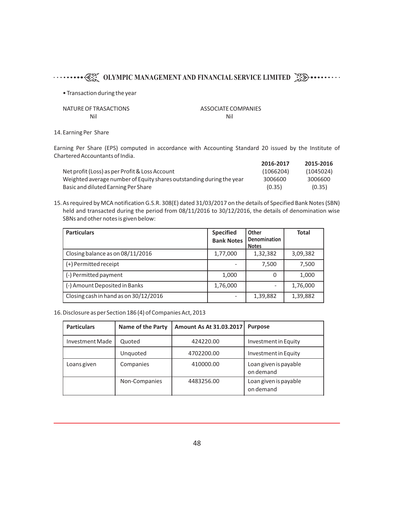• Transaction during the year

NATURE OF TRASACTIONS ASSOCIATE COMPANIES Nil Nil

14.Earning Per Share

Earning Per Share (EPS) computed in accordance with Accounting Standard 20 issued by the Institute of Chartered Accountants of India.

|                                                                      | 2016-2017 | 2015-2016 |
|----------------------------------------------------------------------|-----------|-----------|
| Net profit (Loss) as per Profit & Loss Account                       | (1066204) | (1045024) |
| Weighted average number of Equity shares outstanding during the year | 3006600   | 3006600   |
| Basic and diluted Earning Per Share                                  | (0.35)    | (0.35)    |

15.As required by MCA notification G.S.R. 308(E) dated 31/03/2017 on the details of Specified Bank Notes (SBN) held and transacted during the period from 08/11/2016 to 30/12/2016, the details of denomination wise SBNs and other notes is given below:

| <b>Particulars</b>                    | <b>Specified</b><br><b>Bank Notes</b> | Other<br><b>Denomination</b><br><b>Notes</b> | <b>Total</b> |
|---------------------------------------|---------------------------------------|----------------------------------------------|--------------|
| Closing balance as on 08/11/2016      | 1,77,000                              | 1,32,382                                     | 3,09,382     |
| (+) Permitted receipt                 |                                       | 7.500                                        | 7,500        |
| (-) Permitted payment                 | 1,000                                 | 0                                            | 1,000        |
| (-) Amount Deposited in Banks         | 1,76,000                              |                                              | 1,76,000     |
| Closing cash in hand as on 30/12/2016 |                                       | 1,39,882                                     | 1,39,882     |

16.Disclosure as per Section 186 (4) of Companies Act, 2013

| <b>Particulars</b> | <b>Name of the Party</b> | Amount As At 31.03.2017 | <b>Purpose</b>                     |
|--------------------|--------------------------|-------------------------|------------------------------------|
| Investment Made    | Quoted                   | 424220.00               | Investment in Equity               |
|                    | Unquoted                 | 4702200.00              | Investment in Equity               |
| Loans given        | Companies                | 410000.00               | Loan given is payable<br>on demand |
|                    | Non-Companies            | 4483256.00              | Loan given is payable<br>on demand |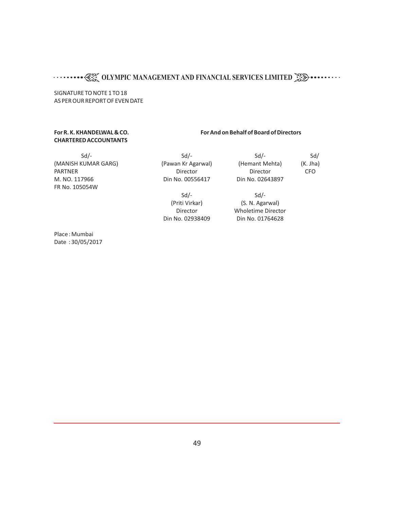SIGNATURE TO NOTE 1 TO 18 AS PER OUR REPORT OF EVEN DATE

# **CHARTERED ACCOUNTANTS**

#### **For R. K. KHANDELWAL & CO. For And on Behalf of Board of Directors**

 Sd/- Sd/- Sd/- Sd/ M. NO. 117966 Din No. 00556417 Din No. 02643897 FR No. 105054W

(MANISH KUMAR GARG) (Pawan Kr Agarwal) (Hemant Mehta) (K. Jha) PARTNER Director Director CFO

 $Sd$ - $Sd$ -(Priti Virkar) (S. N. Agarwal) Director Wholetime Director Din No. 02938409 Din No. 01764628

Place : Mumbai Date : 30/05/2017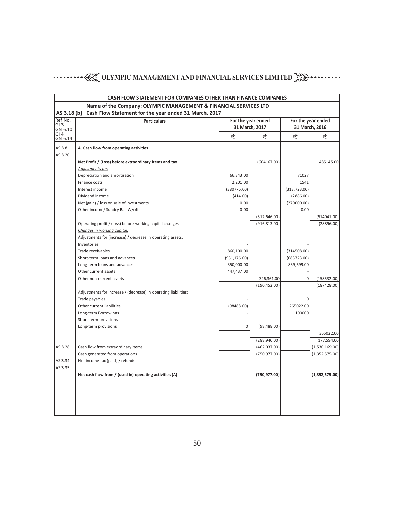|                                                                  | CASH FLOW STATEMENT FOR COMPANIES OTHER THAN FINANCE COMPANIES       |                    |                |                    |                |  |  |
|------------------------------------------------------------------|----------------------------------------------------------------------|--------------------|----------------|--------------------|----------------|--|--|
| Name of the Company: OLYMPIC MANAGEMENT & FINANCIAL SERVICES LTD |                                                                      |                    |                |                    |                |  |  |
|                                                                  | Cash Flow Statement for the year ended 31 March, 2017<br>AS 3.18 (b) |                    |                |                    |                |  |  |
| Ref No.<br><b>Particulars</b><br>GI3                             |                                                                      | For the year ended |                | For the year ended |                |  |  |
| GN 6.10                                                          |                                                                      |                    | 31 March, 2017 |                    | 31 March, 2016 |  |  |
| GI <sub>4</sub><br>GN 6.14                                       |                                                                      | ₹                  | ₹              | ₹                  | ₹              |  |  |
| AS 3.8                                                           | A. Cash flow from operating activities                               |                    |                |                    |                |  |  |
| AS 3.20                                                          |                                                                      |                    |                |                    |                |  |  |
|                                                                  | Net Profit / (Loss) before extraordinary items and tax               |                    | (604167.00)    |                    | 485145.00      |  |  |
|                                                                  | Adjustments for:                                                     |                    |                |                    |                |  |  |
|                                                                  | Depreciation and amortisation                                        | 66,343.00          |                | 71027              |                |  |  |
|                                                                  | Finance costs                                                        | 2,201.00           |                | 1541               |                |  |  |
|                                                                  | Interest income                                                      | (380776.00)        |                | (313, 723.00)      |                |  |  |
|                                                                  | Dividend income                                                      | (414.00)           |                | (2886.00)          |                |  |  |
|                                                                  | Net (gain) / loss on sale of investments                             | 0.00               |                | (270000.00)        |                |  |  |
|                                                                  | Other income/ Sundry Bal. W/off                                      | 0.00               |                | 0.00               |                |  |  |
|                                                                  |                                                                      |                    | (312, 646.00)  |                    | (514041.00)    |  |  |
|                                                                  | Operating profit / (loss) before working capital changes             |                    | (916, 813.00)  |                    | (28896.00)     |  |  |
|                                                                  | Changes in working capital:                                          |                    |                |                    |                |  |  |
|                                                                  | Adjustments for (increase) / decrease in operating assets:           |                    |                |                    |                |  |  |
|                                                                  | Inventories                                                          |                    |                |                    |                |  |  |
|                                                                  | Trade receivables                                                    | 860,100.00         |                | (314508.00)        |                |  |  |
|                                                                  | Short-term loans and advances                                        | (931, 176.00)      |                | (683723.00)        |                |  |  |
|                                                                  | Long-term loans and advances                                         | 350,000.00         |                | 839,699.00         |                |  |  |
|                                                                  | Other current assets                                                 | 447,437.00         |                |                    |                |  |  |
|                                                                  | Other non-current assets                                             |                    | 726,361.00     | 0                  | (158532.00)    |  |  |
|                                                                  |                                                                      |                    | (190, 452.00)  |                    | (187428.00)    |  |  |
|                                                                  | Adjustments for increase / (decrease) in operating liabilities:      |                    |                |                    |                |  |  |
|                                                                  | Trade payables                                                       |                    |                | 0                  |                |  |  |
|                                                                  | Other current liabilities                                            | (98488.00)         |                | 265022.00          |                |  |  |
|                                                                  | Long-term Borrowings                                                 |                    |                | 100000             |                |  |  |
|                                                                  | Short-term provisions                                                |                    |                |                    |                |  |  |
|                                                                  | Long-term provisions                                                 | $\bf 0$            | (98, 488.00)   |                    |                |  |  |
|                                                                  |                                                                      |                    |                |                    | 365022.00      |  |  |
|                                                                  |                                                                      |                    | (288,940.00)   |                    | 177,594.00     |  |  |
| AS 3.28                                                          | Cash flow from extraordinary items                                   |                    | (462,037.00)   |                    | (1,530,169.00) |  |  |
|                                                                  | Cash generated from operations                                       |                    | (750, 977.00)  |                    | (1,352,575.00) |  |  |
| AS 3.34                                                          | Net income tax (paid) / refunds                                      |                    |                |                    |                |  |  |
| AS 3.35                                                          |                                                                      |                    |                |                    |                |  |  |
|                                                                  | Net cash flow from / (used in) operating activities (A)              |                    | (750, 977.00)  |                    | (1,352,575.00) |  |  |
|                                                                  |                                                                      |                    |                |                    |                |  |  |
|                                                                  |                                                                      |                    |                |                    |                |  |  |
|                                                                  |                                                                      |                    |                |                    |                |  |  |
|                                                                  |                                                                      |                    |                |                    |                |  |  |
|                                                                  |                                                                      |                    |                |                    |                |  |  |
|                                                                  |                                                                      |                    |                |                    |                |  |  |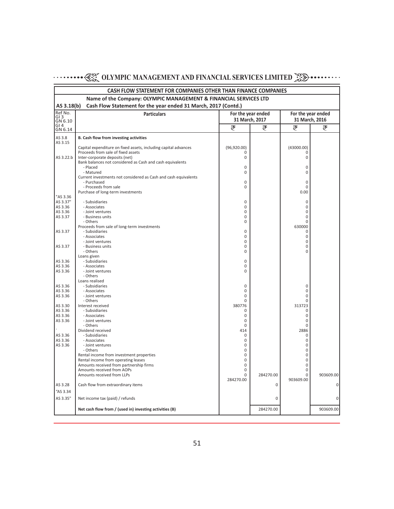|                                                                              | <b>CASH FLOW STATEMENT FOR COMPANIES OTHER THAN FINANCE COMPANIES</b>                                 |                   |           |                 |                    |  |  |
|------------------------------------------------------------------------------|-------------------------------------------------------------------------------------------------------|-------------------|-----------|-----------------|--------------------|--|--|
| Name of the Company: OLYMPIC MANAGEMENT & FINANCIAL SERVICES LTD             |                                                                                                       |                   |           |                 |                    |  |  |
| Cash Flow Statement for the year ended 31 March, 2017 (Contd.)<br>AS 3.18(b) |                                                                                                       |                   |           |                 |                    |  |  |
| Ref No.<br><b>Particulars</b><br>For the year ended                          |                                                                                                       |                   |           |                 | For the year ended |  |  |
| GI <sub>3</sub><br>GN 6.10                                                   |                                                                                                       | 31 March, 2017    |           |                 | 31 March, 2016     |  |  |
| GI <sub>4</sub><br>GN 6.14                                                   |                                                                                                       | ₹                 | ₹         | ₹               | ₹                  |  |  |
| AS 3.8                                                                       | B. Cash flow from investing activities                                                                |                   |           |                 |                    |  |  |
| AS 3.15                                                                      |                                                                                                       |                   |           |                 |                    |  |  |
|                                                                              | Capital expenditure on fixed assets, including capital advances<br>Proceeds from sale of fixed assets | (96, 920.00)<br>0 |           | (43000.00)<br>0 |                    |  |  |
| AS 3.22.b                                                                    | Inter-corporate deposits (net)                                                                        | 0                 |           | 0               |                    |  |  |
|                                                                              | Bank balances not considered as Cash and cash equivalents                                             |                   |           |                 |                    |  |  |
|                                                                              | - Placed<br>- Matured                                                                                 | 0<br>0            |           | 0<br>0          |                    |  |  |
|                                                                              | Current investments not considered as Cash and cash equivalents                                       |                   |           |                 |                    |  |  |
|                                                                              | - Purchased                                                                                           | 0                 |           | 0               |                    |  |  |
|                                                                              | - Proceeds from sale<br>Purchase of long-term investments                                             | 0                 |           | 0<br>0.00       |                    |  |  |
| "AS 3.36                                                                     |                                                                                                       |                   |           |                 |                    |  |  |
| AS 3.37"                                                                     | - Subsidiaries                                                                                        | 0                 |           | 0               |                    |  |  |
| AS 3.36<br>AS 3.36                                                           | - Associates<br>- Joint ventures                                                                      | 0<br>0            |           | $\Omega$<br>0   |                    |  |  |
| AS 3.37                                                                      | - Business units                                                                                      | 0                 |           | 0               |                    |  |  |
|                                                                              | - Others                                                                                              | 0                 |           | 0               |                    |  |  |
| AS 3.37                                                                      | Proceeds from sale of long-term investments<br>- Subsidiaries                                         | 0                 |           | 630000<br>0     |                    |  |  |
|                                                                              | - Associates                                                                                          | 0                 |           | 0               |                    |  |  |
|                                                                              | - Joint ventures                                                                                      | 0                 |           | 0               |                    |  |  |
| AS 3.37                                                                      | - Business units<br>- Others                                                                          | 0<br>0            |           | 0<br>$\Omega$   |                    |  |  |
|                                                                              | Loans given                                                                                           |                   |           |                 |                    |  |  |
| AS 3.36                                                                      | - Subsidiaries                                                                                        | 0                 |           |                 |                    |  |  |
| AS 3.36<br>AS 3.36                                                           | - Associates<br>- Joint ventures                                                                      | 0<br>0            |           |                 |                    |  |  |
|                                                                              | - Others                                                                                              |                   |           |                 |                    |  |  |
|                                                                              | Loans realised                                                                                        |                   |           |                 |                    |  |  |
| AS 3.36<br>AS 3.36                                                           | - Subsidiaries<br>- Associates                                                                        | 0<br>0            |           | 0<br>0          |                    |  |  |
| AS 3.36                                                                      | - Joint ventures                                                                                      | 0                 |           | $\Omega$        |                    |  |  |
|                                                                              | - Others                                                                                              | 0                 |           | 0               |                    |  |  |
| AS 3.30<br>AS 3.36                                                           | Interest received<br>- Subsidiaries                                                                   | 380776<br>0       |           | 313723<br>0     |                    |  |  |
| AS 3.36                                                                      | - Associates                                                                                          | 0                 |           | 0               |                    |  |  |
| AS 3.36                                                                      | - Joint ventures                                                                                      | $\mathbf 0$       |           | 0               |                    |  |  |
|                                                                              | - Others<br>Dividend received                                                                         | 0<br>414          |           | 0<br>2886       |                    |  |  |
| AS 3.36                                                                      | - Subsidiaries                                                                                        | 0                 |           | 0               |                    |  |  |
| AS 3.36                                                                      | - Associates                                                                                          | 0                 |           | 0               |                    |  |  |
| AS 3.36                                                                      | - Joint ventures<br>- Others                                                                          | 0<br>0            |           | 0<br>0          |                    |  |  |
|                                                                              | Rental income from investment properties                                                              | 0                 |           | 0               |                    |  |  |
|                                                                              | Rental income from operating leases                                                                   | 0                 |           | 0               |                    |  |  |
|                                                                              | Amounts received from partnership firms<br>Amounts received from AOPs                                 | 0<br>0            |           | 0<br>0          |                    |  |  |
|                                                                              | Amounts received from LLPs                                                                            | 0                 | 284270.00 | $\Omega$        | 903609.00          |  |  |
|                                                                              |                                                                                                       | 284270.00         |           | 903609.00       |                    |  |  |
| AS 3.28                                                                      | Cash flow from extraordinary items                                                                    |                   | 0         |                 | $\overline{0}$     |  |  |
| "AS 3.34                                                                     |                                                                                                       |                   |           |                 |                    |  |  |
| AS 3.35"                                                                     | Net income tax (paid) / refunds                                                                       |                   | 0         |                 | 0                  |  |  |
|                                                                              | Net cash flow from / (used in) investing activities (B)                                               |                   | 284270.00 |                 | 903609.00          |  |  |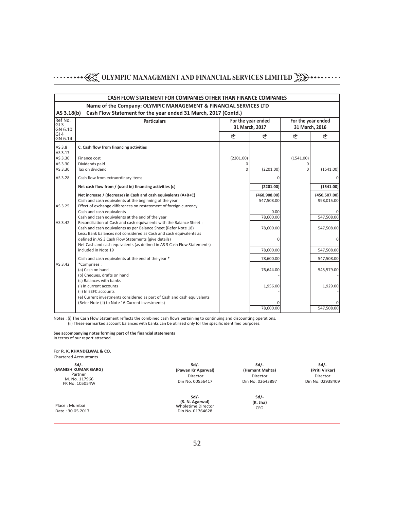|                                                     | CASH FLOW STATEMENT FOR COMPANIES OTHER THAN FINANCE COMPANIES                                                                                                                                |               |                                      |              |                                      |  |  |
|-----------------------------------------------------|-----------------------------------------------------------------------------------------------------------------------------------------------------------------------------------------------|---------------|--------------------------------------|--------------|--------------------------------------|--|--|
|                                                     | Name of the Company: OLYMPIC MANAGEMENT & FINANCIAL SERVICES LTD                                                                                                                              |               |                                      |              |                                      |  |  |
| AS 3.18(b)<br>Ref No.<br>GI <sub>3</sub><br>GN 6.10 | Cash Flow Statement for the year ended 31 March, 2017 (Contd.)<br><b>Particulars</b>                                                                                                          |               | For the year ended<br>31 March, 2017 |              | For the year ended<br>31 March. 2016 |  |  |
| GI4<br>GN 6.14                                      |                                                                                                                                                                                               | ₹             | ₹                                    | ₹            | ₹                                    |  |  |
| AS 3.8<br>AS 3.17<br>AS 3.30                        | C. Cash flow from financing activities<br>Finance cost                                                                                                                                        | (2201.00)     |                                      | (1541.00)    |                                      |  |  |
| AS 3.30<br>AS 3.30                                  | Dividends paid<br>Tax on dividend                                                                                                                                                             | O<br>$\Omega$ | (2201.00)                            | <sup>0</sup> | (1541.00)                            |  |  |
| AS 3.28                                             | Cash flow from extraordinary items                                                                                                                                                            |               |                                      |              | ΟI                                   |  |  |
|                                                     | Net cash flow from / (used in) financing activities (c)                                                                                                                                       |               | (2201.00)                            |              | (1541.00)                            |  |  |
| AS 3.25                                             | Net increase / (decrease) in Cash and cash equivalents (A+B+C)<br>Cash and cash equivalents at the beginning of the year<br>Effect of exchange differences on restatement of foreign currency |               | (468,908.00)<br>547,508.00           |              | (450, 507.00)<br>998,015.00          |  |  |
|                                                     | Cash and cash equivalents                                                                                                                                                                     |               | 0.00                                 |              |                                      |  |  |
| AS 3.42                                             | Cash and cash equivalents at the end of the year<br>Reconciliation of Cash and cash equivalents with the Balance Sheet:                                                                       |               | 78,600.00                            |              | 547,508.00                           |  |  |
|                                                     | Cash and cash equivalents as per Balance Sheet (Refer Note 18)<br>Less: Bank balances not considered as Cash and cash equivalents as                                                          |               | 78,600.00                            |              | 547,508.00                           |  |  |
|                                                     | defined in AS 3 Cash Flow Statements (give details)                                                                                                                                           |               |                                      |              | $\overline{0}$                       |  |  |
|                                                     | Net Cash and cash equivalents (as defined in AS 3 Cash Flow Statements)<br>included in Note 19                                                                                                |               | 78,600.00                            |              | 547,508.00                           |  |  |
|                                                     | Cash and cash equivalents at the end of the year *                                                                                                                                            |               | 78,600.00                            |              | 547,508.00                           |  |  |
| AS 3.42                                             | *Comprises:<br>(a) Cash on hand<br>(b) Cheques, drafts on hand<br>(c) Balances with banks                                                                                                     |               | 76,644.00                            |              | 545,579.00                           |  |  |
|                                                     | (i) In current accounts<br>(ii) In EEFC accounts<br>(e) Current investments considered as part of Cash and cash equivalents                                                                   |               | 1,956.00                             |              | 1,929.00                             |  |  |
|                                                     | (Refer Note (ii) to Note 16 Current investments)                                                                                                                                              |               | 78.600.00                            |              | $\Omega$<br>547.508.00               |  |  |

Notes : (i) The Cash Flow Statement reflects the combined cash flows pertaining to continuing and discounting operations. (ii) These earmarked account balances with banks can be utilised only for the specific identified purposes.

#### **See accompanying notes forming part of the financial statements** In terms of our report attached.

Date : 30.05.2017

 Place : Mumbai For **R. K. KHANDELWAL & CO.** Chartered Accountants **Sd/- (MANISH KUMAR GARG)** Partner M. No. 117966 FR No. 105054W **Sd/- (Pawan Kr Agarwal)** Director Din No. 00556417

**Sd/- (Hemant Mehta)** Director Din No. 02643897

**Sd/- (Priti Virkar)** Director Din No. 02938409

**Sd/-<br>
<b>(S. N. Agarwal)**<br>
Wholetime Director<br>
Din No. 01764628

**Sd/- (K. Jha)** CFO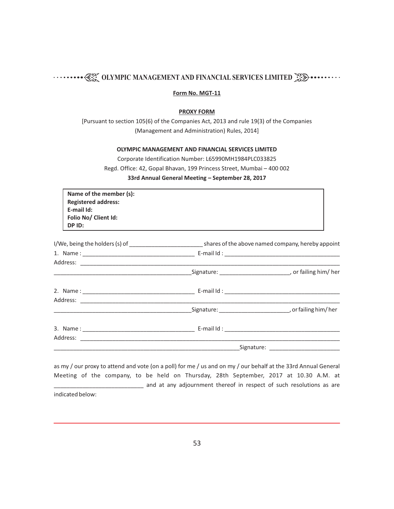#### **Form No. MGT-11**

#### **PROXY FORM**

[Pursuant to section 105(6) of the Companies Act, 2013 and rule 19(3) of the Companies (Management and Administration) Rules, 2014]

#### **OLYMPIC MANAGEMENT AND FINANCIAL SERVICES LIMITED**

Corporate Identification Number: L65990MH1984PLC033825 Regd. Office: 42, Gopal Bhavan, 199 Princess Street, Mumbai – 400 002 **33rd Annual General Meeting – September 28, 2017**

| Name of the member (s):    |
|----------------------------|
| <b>Registered address:</b> |
| E-mail Id:                 |
| Folio No/ Client Id:       |
| DP ID:                     |

as my / our proxy to attend and vote (on a poll) for me / us and on my / our behalf at the 33rd Annual General Meeting of the company, to be held on Thursday, 28th September, 2017 at 10.30 A.M. at \_\_\_\_\_\_\_ and at any adjournment thereof in respect of such resolutions as are indicated below: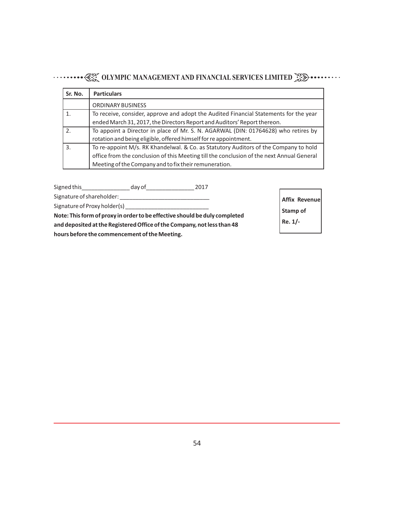| Sr. No. | <b>Particulars</b>                                                                        |
|---------|-------------------------------------------------------------------------------------------|
|         | ORDINARY BUSINESS                                                                         |
|         | To receive, consider, approve and adopt the Audited Financial Statements for the year     |
|         | ended March 31, 2017, the Directors Report and Auditors' Report thereon.                  |
| 2.      | To appoint a Director in place of Mr. S. N. AGARWAL (DIN: 01764628) who retires by        |
|         | rotation and being eligible, offered himself for re appointment.                          |
| 3.      | To re-appoint M/s. RK Khandelwal. & Co. as Statutory Auditors of the Company to hold      |
|         | office from the conclusion of this Meeting till the conclusion of the next Annual General |
|         | Meeting of the Company and to fix their remuneration.                                     |

Signed this\_\_\_\_\_\_\_\_\_\_\_\_\_\_\_ day of\_\_\_\_\_\_\_\_\_\_\_\_\_\_\_ 2017 Signature of shareholder: \_\_\_\_\_\_\_\_\_\_\_\_\_\_\_\_\_\_\_\_\_\_\_\_\_\_\_\_ Signature of Proxy holder(s) \_\_\_\_\_\_\_\_\_\_\_\_\_\_\_\_\_\_\_\_\_\_\_\_\_\_ **Note: This form of proxy in order to be effective should be duly completed and deposited at the Registered Office of the Company, not less than 48 hours before the commencement of the Meeting. Affix Revenue Stamp of Re. 1/-**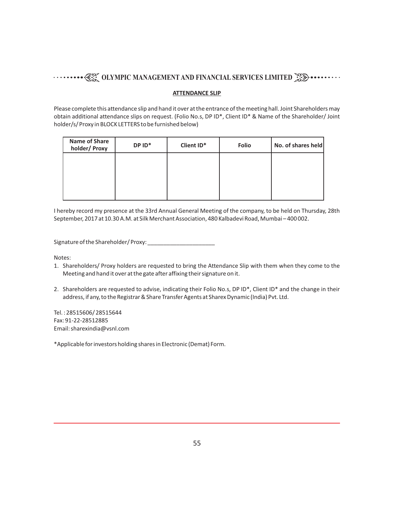#### **ATTENDANCE SLIP**

Please complete this attendance slip and hand it over at the entrance of the meeting hall. Joint Shareholders may obtain additional attendance slips on request. (Folio No.s, DP ID\*, Client ID\* & Name of the Shareholder/ Joint holder/s/ Proxy in BLOCK LETTERS to be furnished below)

| <b>Name of Share</b><br>holder/ Proxy | DP ID* | Client ID* | <b>Folio</b> | No. of shares held |
|---------------------------------------|--------|------------|--------------|--------------------|
|                                       |        |            |              |                    |
|                                       |        |            |              |                    |
|                                       |        |            |              |                    |

I hereby record my presence at the 33rd Annual General Meeting of the company, to be held on Thursday, 28th September, 2017 at 10.30 A.M. at Silk Merchant Association, 480 Kalbadevi Road, Mumbai – 400 002.

Signature of the Shareholder/ Proxy: \_\_\_\_\_\_\_\_\_\_\_\_\_\_\_\_\_\_\_\_\_

Notes:

- 1. Shareholders/ Proxy holders are requested to bring the Attendance Slip with them when they come to the Meeting and hand it over at the gate after affixing their signature on it.
- 2. Shareholders are requested to advise, indicating their Folio No.s, DP ID\*, Client ID\* and the change in their address, if any, to the Registrar & Share Transfer Agents at Sharex Dynamic (India) Pvt. Ltd.

Tel. : 28515606/ 28515644 Fax: 91-22-28512885 Email: sharexindia@vsnl.com

\*Applicable for investors holding shares in Electronic (Demat) Form.